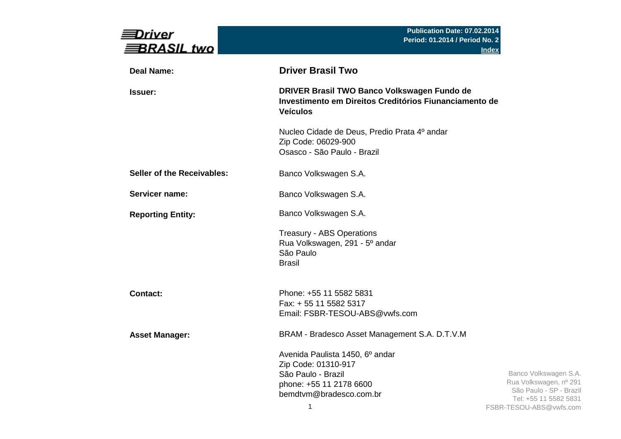| Driver<br>BRASIL two              | Publication Date: 07.02.2014<br><b>Period: 01.2014 / Period No. 2</b>                                                                   | <b>Index</b>                                                                                                                   |
|-----------------------------------|-----------------------------------------------------------------------------------------------------------------------------------------|--------------------------------------------------------------------------------------------------------------------------------|
| <b>Deal Name:</b>                 | <b>Driver Brasil Two</b>                                                                                                                |                                                                                                                                |
| <b>Issuer:</b>                    | DRIVER Brasil TWO Banco Volkswagen Fundo de<br>Investimento em Direitos Creditórios Fiunanciamento de<br><b>Veículos</b>                |                                                                                                                                |
|                                   | Nucleo Cidade de Deus, Predio Prata 4º andar<br>Zip Code: 06029-900<br>Osasco - São Paulo - Brazil                                      |                                                                                                                                |
| <b>Seller of the Receivables:</b> | Banco Volkswagen S.A.                                                                                                                   |                                                                                                                                |
| Servicer name:                    | Banco Volkswagen S.A.                                                                                                                   |                                                                                                                                |
| <b>Reporting Entity:</b>          | Banco Volkswagen S.A.                                                                                                                   |                                                                                                                                |
|                                   | <b>Treasury - ABS Operations</b><br>Rua Volkswagen, 291 - 5° andar<br>São Paulo<br><b>Brasil</b>                                        |                                                                                                                                |
| <b>Contact:</b>                   | Phone: +55 11 5582 5831<br>Fax: + 55 11 5582 5317<br>Email: FSBR-TESOU-ABS@vwfs.com                                                     |                                                                                                                                |
| <b>Asset Manager:</b>             | BRAM - Bradesco Asset Management S.A. D.T.V.M                                                                                           |                                                                                                                                |
|                                   | Avenida Paulista 1450, 6º andar<br>Zip Code: 01310-917<br>São Paulo - Brazil<br>phone: +55 11 2178 6600<br>bemdtvm@bradesco.com.br<br>1 | Banco Volkswagen S.A.<br>Rua Volkswagen, nº 291<br>São Paulo - SP - Brazil<br>Tel: +55 11 5582 5831<br>FSBR-TESOU-ABS@vwfs.com |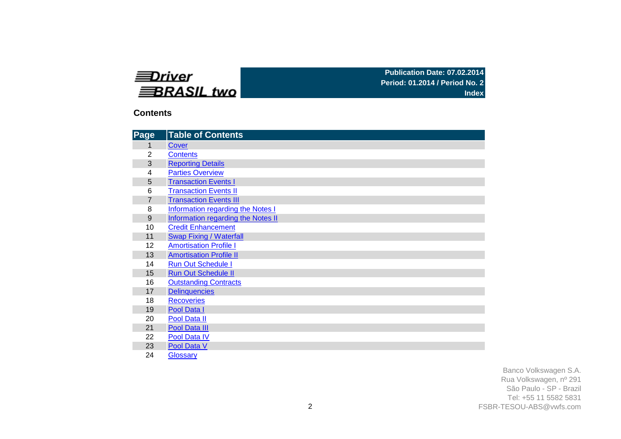| ≡Driver     |  |
|-------------|--|
| ≡BRASIL two |  |

**Publication Date: 07.02.2014 Period: 01.2014 / Period No. 2 Index**

### **Contents**

| Page           | <b>Table of Contents</b>                 |
|----------------|------------------------------------------|
| 1              | Cover                                    |
| $\overline{2}$ | <b>Contents</b>                          |
| 3              | <b>Reporting Details</b>                 |
| 4              | <b>Parties Overview</b>                  |
| 5              | <b>Transaction Events I</b>              |
| 6              | <b>Transaction Events II</b>             |
| $\overline{7}$ | <b>Transaction Events III</b>            |
| 8              | <b>Information regarding the Notes I</b> |
| 9              | Information regarding the Notes II       |
| 10             | <b>Credit Enhancement</b>                |
| 11             | <b>Swap Fixing / Waterfall</b>           |
| 12             | <b>Amortisation Profile I</b>            |
| 13             | <b>Amortisation Profile II</b>           |
| 14             | <b>Run Out Schedule I</b>                |
| 15             | <b>Run Out Schedule II</b>               |
| 16             | <b>Outstanding Contracts</b>             |
| 17             | <b>Delinquencies</b>                     |
| 18             | <b>Recoveries</b>                        |
| 19             | Pool Data I                              |
| 20             | Pool Data II                             |
| 21             | Pool Data III                            |
| 22             | Pool Data IV                             |
| 23             | Pool Data V                              |
| 24             | Glossary                                 |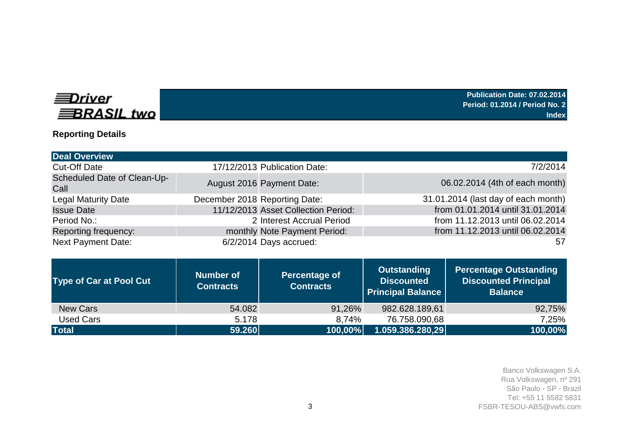# **EDriver BRASIL** two

**Publication Date: 07.02.2014 Period: 01.2014 / Period No. 2 Index**

# **Reporting Details**

| <b>Deal Overview</b>                |                               |                                     |                                     |
|-------------------------------------|-------------------------------|-------------------------------------|-------------------------------------|
| <b>Cut-Off Date</b>                 |                               | 17/12/2013 Publication Date:        | 7/2/2014                            |
| Scheduled Date of Clean-Up-<br>Call |                               | August 2016 Payment Date:           | 06.02.2014 (4th of each month)      |
| <b>Legal Maturity Date</b>          | December 2018 Reporting Date: |                                     | 31.01.2014 (last day of each month) |
| <b>Issue Date</b>                   |                               | 11/12/2013 Asset Collection Period: | from 01.01.2014 until 31.01.2014    |
| Period No.:                         |                               | 2 Interest Accrual Period           | from 11.12.2013 until 06.02.2014    |
| Reporting frequency:                |                               | monthly Note Payment Period:        | from 11.12.2013 until 06.02.2014    |
| <b>Next Payment Date:</b>           |                               | 6/2/2014 Days accrued:              | 57                                  |

| <b>Type of Car at Pool Cut</b> | <b>Number of</b><br><b>Contracts</b> | <b>Percentage of</b><br><b>Contracts</b> | Outstanding<br><b>Discounted</b><br><b>Principal Balance</b> | Percentage Outstanding<br><b>Discounted Principal</b><br><b>Balance</b> |
|--------------------------------|--------------------------------------|------------------------------------------|--------------------------------------------------------------|-------------------------------------------------------------------------|
| <b>New Cars</b>                | 54.082                               | 91,26%                                   | 982.628.189,61                                               | 92,75%                                                                  |
| Used Cars                      | 5.178                                | 8,74%                                    | 76.758.090,68                                                | 7,25%                                                                   |
| <b>Total</b>                   | 59.260                               | 100,00%                                  | 1.059.386.280,29                                             | 100,00%                                                                 |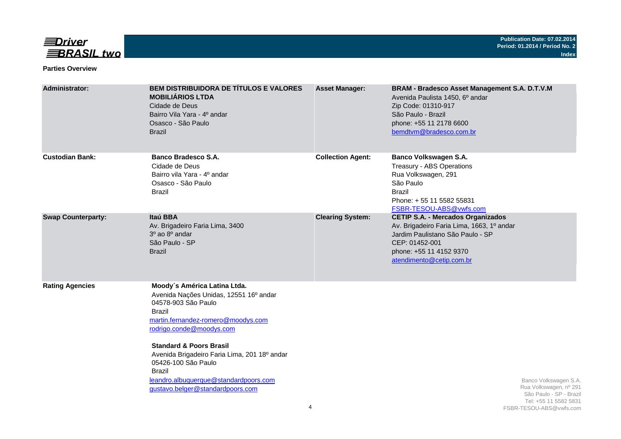

#### **Parties Overview**

| Administrator:            | <b>BEM DISTRIBUIDORA DE TÍTULOS E VALORES</b><br><b>MOBILIÁRIOS LTDA</b><br>Cidade de Deus<br>Bairro Vila Yara - 4º andar<br>Osasco - São Paulo<br><b>Brazil</b>                                                                                                                                                                                                                     | <b>Asset Manager:</b>    | BRAM - Bradesco Asset Management S.A. D.T.V.M<br>Avenida Paulista 1450, 6º andar<br>Zip Code: 01310-917<br>São Paulo - Brazil<br>phone: +55 11 2178 6600<br>bemdtvm@bradesco.com.br                |
|---------------------------|--------------------------------------------------------------------------------------------------------------------------------------------------------------------------------------------------------------------------------------------------------------------------------------------------------------------------------------------------------------------------------------|--------------------------|----------------------------------------------------------------------------------------------------------------------------------------------------------------------------------------------------|
| <b>Custodian Bank:</b>    | Banco Bradesco S.A.<br>Cidade de Deus<br>Bairro vila Yara - 4º andar<br>Osasco - São Paulo<br><b>Brazil</b>                                                                                                                                                                                                                                                                          | <b>Collection Agent:</b> | Banco Volkswagen S.A.<br>Treasury - ABS Operations<br>Rua Volkswagen, 291<br>São Paulo<br><b>Brazil</b><br>Phone: +55 11 5582 55831<br>FSBR-TESOU-ABS@vwfs.com                                     |
| <b>Swap Counterparty:</b> | Itaú BBA<br>Av. Brigadeiro Faria Lima, 3400<br>$30$ ao $80$ andar<br>São Paulo - SP<br><b>Brazil</b>                                                                                                                                                                                                                                                                                 | <b>Clearing System:</b>  | <b>CETIP S.A. - Mercados Organizados</b><br>Av. Brigadeiro Faria Lima, 1663, 1º andar<br>Jardim Paulistano São Paulo - SP<br>CEP: 01452-001<br>phone: +55 11 4152 9370<br>atendimento@cetip.com.br |
| <b>Rating Agencies</b>    | Moody's América Latina Ltda.<br>Avenida Nações Unidas, 12551 16º andar<br>04578-903 São Paulo<br>Brazil<br>martin.fernandez-romero@moodys.com<br>rodrigo.conde@moodys.com<br><b>Standard &amp; Poors Brasil</b><br>Avenida Brigadeiro Faria Lima, 201 18º andar<br>05426-100 São Paulo<br><b>Brazil</b><br>leandro.albuquerque@standardpoors.com<br>gustavo.belger@standardpoors.com | 4                        | Banco Volkswagen S.A.<br>Rua Volkswagen, nº 291<br>São Paulo - SP - Brazil<br>Tel: +55 11 5582 5831<br>FSBR-TESOU-ABS@vwfs.com                                                                     |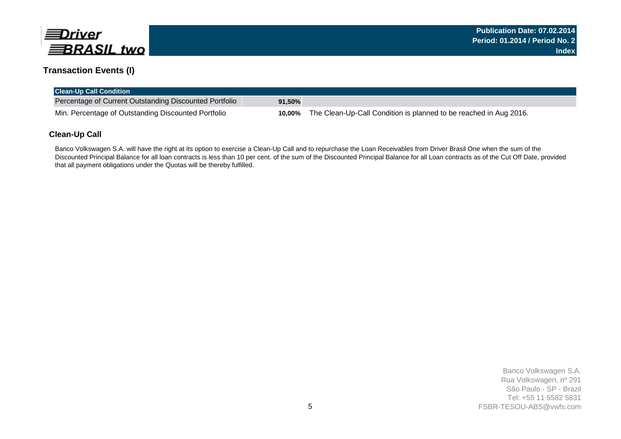

# **Transaction Events (I)**

| <b>Clean-Up Call Condition</b>                         |           |                                                                   |
|--------------------------------------------------------|-----------|-------------------------------------------------------------------|
| Percentage of Current Outstanding Discounted Portfolio | $91,50\%$ |                                                                   |
| Min. Percentage of Outstanding Discounted Portfolio    | 10.00%    | The Clean-Up-Call Condition is planned to be reached in Aug 2016. |

#### **Clean-Up Call**

Banco Volkswagen S.A. will have the right at its option to exercise a Clean-Up Call and to repurchase the Loan Receivables from Driver Brasil One when the sum of the Discounted Principal Balance for all loan contracts is less than 10 per cent. of the sum of the Discounted Principal Balance for all Loan contracts as of the Cut Off Date, provided that all payment obligations under the Quotas will be thereby fulfilled.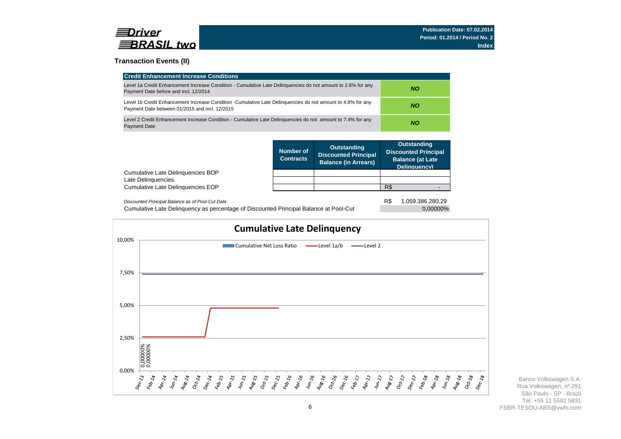

#### **Transaction Events (II)**

| <b>Credit Enhancement Increase Conditions</b>                                                                                                                 |           |
|---------------------------------------------------------------------------------------------------------------------------------------------------------------|-----------|
| Level 1a Credit Enhancement Increase Condition - Cumulative Late Delinguencies do not amount to 2.6% for any<br>Payment Date before and incl. 12/2014         | NO.       |
| Level 1b Credit Enhancement Increase Condition -Cumulative Late Delinguencies do not amount to 4.8% for any<br>Payment Date between 01/2015 and incl. 12/2015 | <b>NO</b> |
| Level 2 Credit Enhancement Increase Condition - Cumulative Late Delinguencies do not amount to 7.4% for any<br><b>Payment Date</b>                            | <b>NO</b> |

|                                                  | <b>Outstanding</b><br>Number of<br><b>Discounted Principal</b><br><b>Contracts</b><br><b>Balance (in Arrears)</b> |  | <b>Outstanding</b><br><b>Discounted Principal</b><br><b>Balance (at Late</b><br>Delinquency) |  |
|--------------------------------------------------|-------------------------------------------------------------------------------------------------------------------|--|----------------------------------------------------------------------------------------------|--|
| Cumulative Late Delinguencies BOP                |                                                                                                                   |  |                                                                                              |  |
| Late Delinguencies                               |                                                                                                                   |  |                                                                                              |  |
| Cumulative Late Delinguencies EOP                |                                                                                                                   |  | R\$                                                                                          |  |
| Dissounted Drippinal Delange as of Dool Out Data |                                                                                                                   |  | DФ<br>1.050.298.290.20                                                                       |  |

| Discounted Principal Balance as of Pool-Cut Date                                      | 1.059.386.280,29 |
|---------------------------------------------------------------------------------------|------------------|
| Cumulative Late Delinguency as percentage of Discounted Principal Balance at Pool-Cut | 0,00000%         |

R\$ 1.059.386.280,29

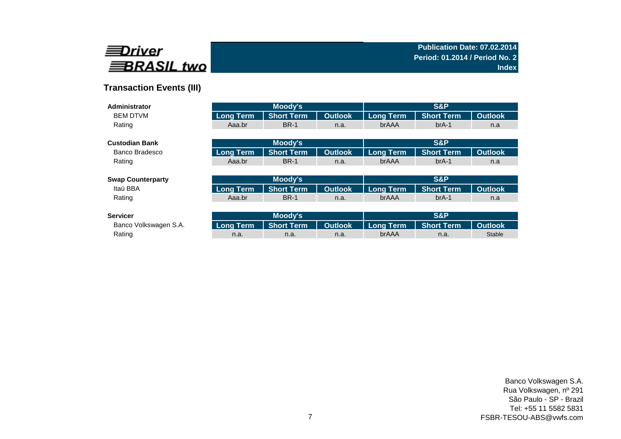

# **Transaction Events (III)**

| Administrator            |                  | Moody's           |                |                  | S&P               |                |
|--------------------------|------------------|-------------------|----------------|------------------|-------------------|----------------|
| <b>BEM DTVM</b>          | <b>Long Term</b> | <b>Short Term</b> | <b>Outlook</b> | <b>Long Term</b> | <b>Short Term</b> | <b>Outlook</b> |
| Rating                   | Aaa.br           | <b>BR-1</b>       | n.a.           | brAAA            | $brA-1$           | n.a            |
|                          |                  |                   |                |                  |                   |                |
| <b>Custodian Bank</b>    |                  | Moody's           |                |                  | S&P               |                |
| Banco Bradesco           | <b>Long Term</b> | <b>Short Term</b> | <b>Outlook</b> | <b>Long Term</b> | <b>Short Term</b> | <b>Outlook</b> |
| Rating                   | Aaa.br           | <b>BR-1</b>       | n.a.           | brAAA            | $brA-1$           | n.a            |
|                          |                  |                   |                |                  |                   |                |
| <b>Swap Counterparty</b> |                  | Moody's           |                |                  | S&P               |                |
| Itaú BBA                 | <b>Long Term</b> | <b>Short Term</b> | <b>Outlook</b> | <b>Long Term</b> | <b>Short Term</b> | <b>Outlook</b> |
| Rating                   | Aaa.br           | <b>BR-1</b>       | n.a.           | brAAA            | $brA-1$           | n.a            |
|                          |                  |                   |                |                  |                   |                |
| <b>Servicer</b>          |                  | <b>Moody's</b>    |                |                  | S&P               |                |
| Banco Volkswagen S.A.    | <b>Long Term</b> | <b>Short Term</b> | <b>Outlook</b> | <b>Long Term</b> | <b>Short Term</b> | <b>Outlook</b> |
| Rating                   | n.a.             | n.a.              | n.a.           | brAAA            | n.a.              | <b>Stable</b>  |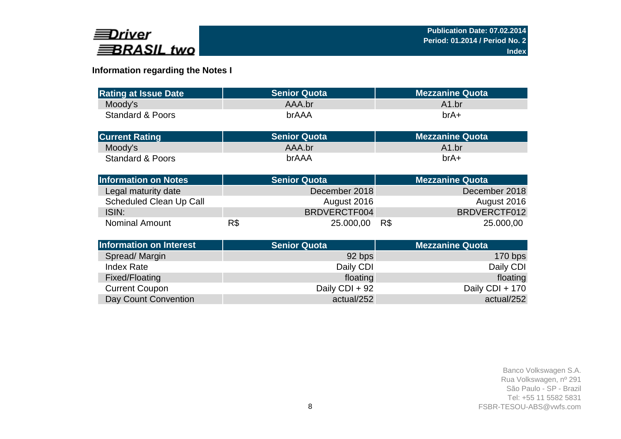

# **Information regarding the Notes I**

| <b>Rating at Issue Date</b>    | <b>Senior Quota</b> |                | <b>Mezzanine Quota</b> |
|--------------------------------|---------------------|----------------|------------------------|
| Moody's                        | AAA.br              |                | A1.br                  |
| <b>Standard &amp; Poors</b>    | brAAA               |                | $brA+$                 |
|                                |                     |                |                        |
| <b>Current Rating</b>          | <b>Senior Quota</b> |                | <b>Mezzanine Quota</b> |
| Moody's                        | AAA.br              |                | A1.br                  |
| <b>Standard &amp; Poors</b>    | brAAA               |                | $brA+$                 |
| <b>Information on Notes</b>    | <b>Senior Quota</b> |                | <b>Mezzanine Quota</b> |
| Legal maturity date            |                     | December 2018  | December 2018          |
| Scheduled Clean Up Call        |                     | August 2016    | August 2016            |
| ISIN:                          |                     | BRDVERCTF004   | BRDVERCTF012           |
| <b>Nominal Amount</b>          | R\$                 | 25.000,00      | R\$<br>25.000,00       |
| <b>Information on Interest</b> | <b>Senior Quota</b> |                | <b>Mezzanine Quota</b> |
| Spread/Margin                  |                     | 92 bps         | 170 bps                |
| <b>Index Rate</b>              |                     | Daily CDI      | Daily CDI              |
| Fixed/Floating                 |                     | floating       | floating               |
| <b>Current Coupon</b>          |                     | Daily CDI + 92 | Daily CDI + 170        |
| Day Count Convention           |                     | actual/252     | actual/252             |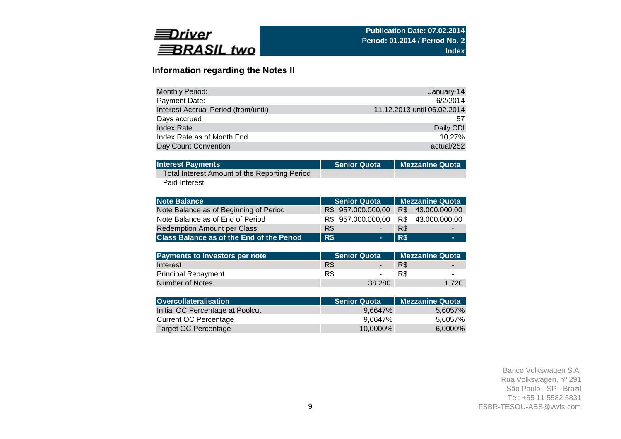

# **Information regarding the Notes II**

| Monthly Period:                      | January-14                  |
|--------------------------------------|-----------------------------|
| Payment Date:                        | 6/2/2014                    |
| Interest Accrual Period (from/until) | 11.12.2013 until 06.02.2014 |
| Days accrued                         | 57                          |
| Index Rate                           | Daily CDI                   |
| Index Rate as of Month End           | 10.27%                      |
| Day Count Convention                 | actual/252                  |

| <b>Interest Payments</b>                      | Senior Quota   Mezzanine Quota |
|-----------------------------------------------|--------------------------------|
| Total Interest Amount of the Reporting Period |                                |

Paid Interest

| <b>Note Balance</b>                              | <b>Senior Quota</b> | <b>Mezzanine Quota</b> |   |
|--------------------------------------------------|---------------------|------------------------|---|
| Note Balance as of Beginning of Period           | R\$ 957.000.000,00  | R\$ 43.000.000,00      |   |
| Note Balance as of End of Period                 | R\$ 957.000.000,00  | R\$43.000.000,00       |   |
| <b>Redemption Amount per Class</b>               | R\$                 | R\$                    | - |
| <b>Class Balance as of the End of the Period</b> | R\$                 | R\$                    | - |

| <b>Payments to Investors per note</b> |     | ∟Senior Quota <sup>i</sup> | l Mezzanine Quota |                          |  |
|---------------------------------------|-----|----------------------------|-------------------|--------------------------|--|
| Interest                              | R\$ |                            | R\$               | $\overline{\phantom{0}}$ |  |
| <b>Principal Repayment</b>            | R\$ | $\sim$                     |                   | $\sim$                   |  |
| Number of Notes                       |     | 38.280                     |                   | 1.720                    |  |

| Overcollateralisation            | <b>Senior Quota</b> | <b>Mezzanine Quota</b> |
|----------------------------------|---------------------|------------------------|
| Initial OC Percentage at Poolcut | 9.6647%             | 5,6057%                |
| Current OC Percentage            | 9.6647%             | 5,6057%                |
| Target OC Percentage             | 10.0000%            | 6,0000%                |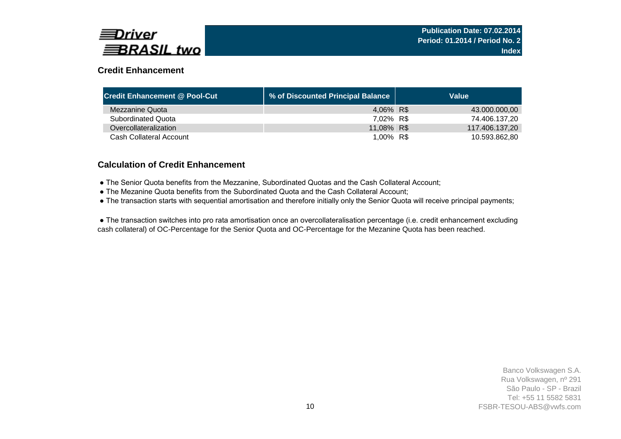

# **Credit Enhancement**

| <b>Credit Enhancement @ Pool-Cut</b> | ↓ % of Discounted Principal Balance | Value          |
|--------------------------------------|-------------------------------------|----------------|
| Mezzanine Quota                      | 4,06% R\$                           | 43.000.000,00  |
| <b>Subordinated Quota</b>            | 7,02% R\$                           | 74.406.137.20  |
| Overcollateralization                | 11,08% R\$                          | 117.406.137.20 |
| Cash Collateral Account              | 1,00% R\$                           | 10.593.862.80  |

### **Calculation of Credit Enhancement**

- The Senior Quota benefits from the Mezzanine, Subordinated Quotas and the Cash Collateral Account;
- The Mezanine Quota benefits from the Subordinated Quota and the Cash Collateral Account;
- The transaction starts with sequential amortisation and therefore initially only the Senior Quota will receive principal payments;

 ● The transaction switches into pro rata amortisation once an overcollateralisation percentage (i.e. credit enhancement excluding cash collateral) of OC-Percentage for the Senior Quota and OC-Percentage for the Mezanine Quota has been reached.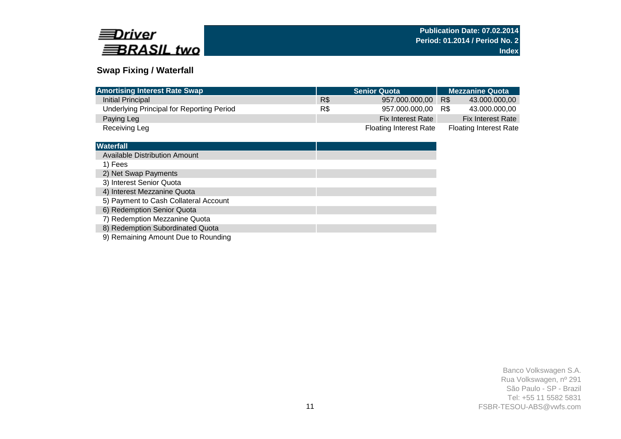

## **Swap Fixing / Waterfall**

| <b>Amortising Interest Rate Swap</b>      |     | <b>Senior Quota</b>           | <b>Mezzanine Quota</b>        |  |  |  |
|-------------------------------------------|-----|-------------------------------|-------------------------------|--|--|--|
| Initial Principal                         | R\$ | 957.000.000.00                | R\$<br>43.000.000.00          |  |  |  |
| Underlying Principal for Reporting Period | R\$ | 957.000.000.00                | R\$<br>43.000.000.00          |  |  |  |
| Paying Leg                                |     | <b>Fix Interest Rate</b>      | <b>Fix Interest Rate</b>      |  |  |  |
| Receiving Leg                             |     | <b>Floating Interest Rate</b> | <b>Floating Interest Rate</b> |  |  |  |

| <b>Waterfall</b>                      |  |
|---------------------------------------|--|
| Available Distribution Amount         |  |
| 1) Fees                               |  |
| 2) Net Swap Payments                  |  |
| 3) Interest Senior Quota              |  |
| 4) Interest Mezzanine Quota           |  |
| 5) Payment to Cash Collateral Account |  |
| 6) Redemption Senior Quota            |  |
| 7) Redemption Mezzanine Quota         |  |
| 8) Redemption Subordinated Quota      |  |
|                                       |  |

9) Remaining Amount Due to Rounding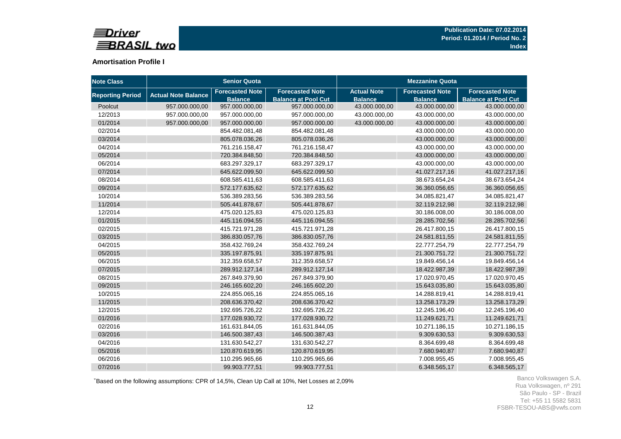

#### **Amortisation Profile I**

| <b>Note Class</b>       |                            | <b>Senior Quota</b>                      |                                                      | <b>Mezzanine Quota</b>               |                                          |                                                      |  |  |
|-------------------------|----------------------------|------------------------------------------|------------------------------------------------------|--------------------------------------|------------------------------------------|------------------------------------------------------|--|--|
| <b>Reporting Period</b> | <b>Actual Note Balance</b> | <b>Forecasted Note</b><br><b>Balance</b> | <b>Forecasted Note</b><br><b>Balance at Pool Cut</b> | <b>Actual Note</b><br><b>Balance</b> | <b>Forecasted Note</b><br><b>Balance</b> | <b>Forecasted Note</b><br><b>Balance at Pool Cut</b> |  |  |
| Poolcut                 | 957.000.000,00             | 957.000.000,00                           | 957.000.000,00                                       | 43.000.000,00                        | 43.000.000,00                            | 43.000.000,00                                        |  |  |
| 12/2013                 | 957.000.000,00             | 957.000.000,00                           | 957.000.000,00                                       | 43.000.000,00                        | 43.000.000,00                            | 43.000.000,00                                        |  |  |
| 01/2014                 | 957.000.000,00             | 957.000.000,00                           | 957.000.000,00                                       | 43.000.000,00                        | 43.000.000,00                            | 43.000.000,00                                        |  |  |
| 02/2014                 |                            | 854.482.081,48                           | 854.482.081,48                                       |                                      | 43.000.000,00                            | 43.000.000,00                                        |  |  |
| 03/2014                 |                            | 805.078.036,26                           | 805.078.036,26                                       |                                      | 43.000.000,00                            | 43.000.000,00                                        |  |  |
| 04/2014                 |                            | 761.216.158,47                           | 761.216.158,47                                       |                                      | 43.000.000,00                            | 43.000.000,00                                        |  |  |
| 05/2014                 |                            | 720.384.848,50                           | 720.384.848,50                                       |                                      | 43.000.000,00                            | 43.000.000,00                                        |  |  |
| 06/2014                 |                            | 683.297.329,17                           | 683.297.329,17                                       |                                      | 43.000.000,00                            | 43.000.000,00                                        |  |  |
| 07/2014                 |                            | 645.622.099,50                           | 645.622.099,50                                       |                                      | 41.027.217,16                            | 41.027.217,16                                        |  |  |
| 08/2014                 |                            | 608.585.411,63                           | 608.585.411,63                                       |                                      | 38.673.654,24                            | 38.673.654,24                                        |  |  |
| 09/2014                 |                            | 572.177.635,62                           | 572.177.635,62                                       |                                      | 36.360.056,65                            | 36.360.056,65                                        |  |  |
| 10/2014                 |                            | 536.389.283,56                           | 536.389.283,56                                       |                                      | 34.085.821,47                            | 34.085.821,47                                        |  |  |
| 11/2014                 |                            | 505.441.878,67                           | 505.441.878,67                                       |                                      | 32.119.212,98                            | 32.119.212,98                                        |  |  |
| 12/2014                 |                            | 475.020.125,83                           | 475.020.125,83                                       |                                      | 30.186.008,00                            | 30.186.008,00                                        |  |  |
| 01/2015                 |                            | 445.116.094,55                           | 445.116.094,55                                       |                                      | 28.285.702,56                            | 28.285.702,56                                        |  |  |
| 02/2015                 |                            | 415.721.971,28                           | 415.721.971,28                                       |                                      | 26.417.800,15                            | 26.417.800,15                                        |  |  |
| 03/2015                 |                            | 386.830.057,76                           | 386.830.057,76                                       |                                      | 24.581.811,55                            | 24.581.811,55                                        |  |  |
| 04/2015                 |                            | 358.432.769,24                           | 358.432.769,24                                       |                                      | 22.777.254,79                            | 22.777.254,79                                        |  |  |
| 05/2015                 |                            | 335.197.875,91                           | 335.197.875,91                                       |                                      | 21.300.751,72                            | 21.300.751,72                                        |  |  |
| 06/2015                 |                            | 312.359.658,57                           | 312.359.658,57                                       |                                      | 19.849.456,14                            | 19.849.456,14                                        |  |  |
| 07/2015                 |                            | 289.912.127,14                           | 289.912.127,14                                       |                                      | 18.422.987,39                            | 18.422.987,39                                        |  |  |
| 08/2015                 |                            | 267.849.379,90                           | 267.849.379,90                                       |                                      | 17.020.970,45                            | 17.020.970,45                                        |  |  |
| 09/2015                 |                            | 246.165.602,20                           | 246.165.602,20                                       |                                      | 15.643.035,80                            | 15.643.035,80                                        |  |  |
| 10/2015                 |                            | 224.855.065,16                           | 224.855.065,16                                       |                                      | 14.288.819,41                            | 14.288.819,41                                        |  |  |
| 11/2015                 |                            | 208.636.370,42                           | 208.636.370,42                                       |                                      | 13.258.173,29                            | 13.258.173,29                                        |  |  |
| 12/2015                 |                            | 192.695.726,22                           | 192.695.726,22                                       |                                      | 12.245.196,40                            | 12.245.196,40                                        |  |  |
| 01/2016                 |                            | 177.028.930,72                           | 177.028.930,72                                       |                                      | 11.249.621,71                            | 11.249.621,71                                        |  |  |
| 02/2016                 |                            | 161.631.844,05                           | 161.631.844,05                                       |                                      | 10.271.186,15                            | 10.271.186,15                                        |  |  |
| 03/2016                 |                            | 146.500.387,43                           | 146.500.387,43                                       |                                      | 9.309.630,53                             | 9.309.630,53                                         |  |  |
| 04/2016                 |                            | 131.630.542,27                           | 131.630.542,27                                       |                                      | 8.364.699,48                             | 8.364.699,48                                         |  |  |
| 05/2016                 |                            | 120.870.619,95                           | 120.870.619,95                                       |                                      | 7.680.940,87                             | 7.680.940,87                                         |  |  |
| 06/2016                 |                            | 110.295.965,66                           | 110.295.965,66                                       |                                      | 7.008.955,45                             | 7.008.955,45                                         |  |  |
| 07/2016                 |                            | 99.903.777,51                            | 99.903.777,51                                        |                                      | 6.348.565,17                             | 6.348.565,17                                         |  |  |

<sup>+</sup>Based on the following assumptions: CPR of 14,5%, Clean Up Call at 10%, Net Losses at 2,09%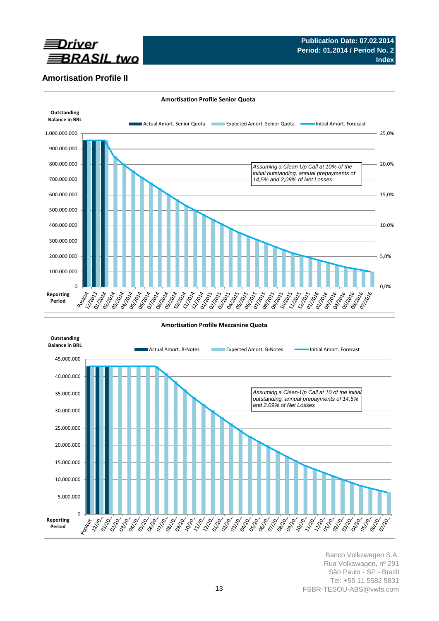

# **Amortisation Profile II**

O Accord

**PARTICIPAL** 

**021-021** 

**Reporting Period**



Banco Volkswagen S.A. Rua Volkswagen, nº 291 São Paulo - SP - Brazil Tel: +55 11 5582 5831 FSBR-TESOU-ABS@vwfs.com

**PAN 65 Print Propriet** 

**PIND** 

**P. R. R. R.** 

**PANA** 

Participation **Principal**  PIPER C

Arribid

**Participation** 

**Propriet PORT** A RAY **P.22-0 PARK Print**<br>Print<br>Control

PINA OS

**PRIMER** 

Partido

PRIMEDIA PION 12

**PIRTS** 

strategy of

**PRIMATE**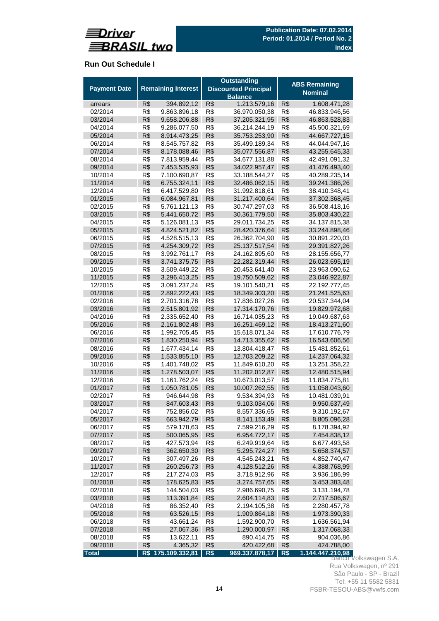

# **Run Out Schedule I**

| <b>Remaining Interest</b><br><b>Payment Date</b><br><b>Discounted Principal</b><br><b>Nominal</b><br><b>Balance</b><br>R\$<br>1.213.579,16<br>R\$<br>394.892,12<br>R\$<br>1.608.471,28<br>arrears<br>R\$<br>R\$<br>R\$<br>02/2014<br>9.863.896,18<br>36.970.050,38<br>46.833.946,56<br>R\$<br>9.658.206,88<br>R\$<br>R\$<br>03/2014<br>37.205.321,95<br>46.863.528,83<br>R\$<br>R\$<br>R\$<br>04/2014<br>9.286.077,50<br>36.214.244,19<br>45.500.321,69<br>R\$<br>R\$<br>R\$<br>05/2014<br>8.914.473,25<br>35.753.253,90<br>R\$<br>R\$<br>R\$<br>06/2014<br>8.545.757,82<br>35.499.189,34<br>44.044.947,16<br>07/2014<br>R\$<br>R\$<br>R\$<br>8.178.088,46<br>35.077.556,87<br>R\$<br>7.813.959,44<br>R\$<br>34.677.131,88<br>R\$<br>08/2014<br>42.491.091,32<br>R\$<br>R\$<br>R\$<br>09/2014<br>7.453.535,93<br>34.022.957,47<br>41.476.493,40<br>R\$<br>R\$<br>R\$<br>10/2014<br>7.100.690,87<br>33.188.544,27<br>40.289.235,14<br>R\$<br>R\$<br>R\$<br>11/2014<br>6.755.324,11<br>32.486.062,15<br>39.241.386,26<br>R\$<br>R\$<br>R\$<br>12/2014<br>6.417.529,80<br>31.992.818,61<br>38.410.348,41<br>R\$<br>R\$<br>R\$<br>01/2015<br>6.084.967,81<br>31.217.400,64<br>37.302.368,45<br>R\$<br>R\$<br>R\$<br>02/2015<br>5.761.121,13<br>30.747.297,03<br>36.508.418,16<br>R\$<br>R\$<br>R\$<br>03/2015<br>5.441.650,72<br>30.361.779,50<br>35.803.430,22<br>R\$<br>5.126.081,13<br>R\$<br>R\$<br>04/2015<br>29.011.734,25<br>34.137.815,38<br>05/2015<br>R\$<br>4.824.521,82<br>R\$<br>R\$<br>28.420.376,64<br>33.244.898,46<br>R\$<br>R\$<br>R\$<br>06/2015<br>4.528.515,13<br>26.362.704,90<br>30.891.220,03<br>R\$<br>R\$<br>R\$<br>07/2015<br>4.254.309,72<br>25.137.517,54<br>29.391.827,26<br>R\$<br>R\$<br>R\$<br>08/2015<br>3.992.761,17<br>24.162.895,60<br>28.155.656,77<br>R\$<br>R\$<br>R\$<br>09/2015<br>3.741.375,75<br>22.282.319,44<br>26.023.695,19<br>R\$<br>R\$<br>R\$<br>10/2015<br>3.509.449,22<br>20.453.641,40<br>23.963.090,62<br>R\$<br>R\$<br>R\$<br>11/2015<br>3.296.413,25<br>19.750.509,62<br>23.046.922,87<br>R\$<br>R\$<br>R\$<br>12/2015<br>3.091.237,24<br>19.101.540,21<br>22.192.777,45<br>01/2016<br>R\$<br>2.892.222,43<br>R\$<br>R\$<br>18.349.303,20<br>21.241.525,63<br>R\$<br>R\$<br>02/2016<br>R\$<br>2.701.316,78<br>17.836.027,26<br>20.537.344,04<br>R\$<br>R\$<br>R\$<br>03/2016<br>2.515.801,92<br>17.314.170,76<br>19.829.972,68<br>R\$<br>R\$<br>R\$<br>04/2016<br>2.335.652,40<br>16.714.035,23<br>19.049.687,63<br>R\$<br>R\$<br>R\$<br>05/2016<br>2.161.802,48<br>16.251.469,12<br>R\$<br>R\$<br>R\$<br>06/2016<br>1.992.705,45<br>15.618.071,34<br>17.610.776,79<br>R\$<br>1.830.250,94<br>R\$<br>14.713.355,62<br>R\$<br>07/2016<br>R\$<br>R\$<br>R\$<br>08/2016<br>1.677.434,14<br>13.804.418,47<br>15.481.852,61<br>R\$<br>R\$<br>R\$<br>09/2016<br>1.533.855,10<br>12.703.209,22<br>R\$<br>R\$<br>R\$<br>10/2016<br>1.401.748,02<br>11.849.610,20<br>13.251.358,22<br>11/2016<br>R\$<br>1.278.503,07<br>R\$<br>11.202.012,87<br>R\$<br>R\$<br>R\$<br>R\$<br>12/2016<br>1.161.762,24<br>10.673.013,57<br>11.834.775,81<br>R\$<br>R\$<br>R\$<br>01/2017<br>1.050.781,05<br>10.007.262,55<br>11.058.043,60<br>R\$<br>R\$<br>R\$<br>02/2017<br>946.644,98<br>9.534.394,93<br>10.481.039,91<br>R\$<br>R\$<br>R\$<br>03/2017<br>847.603,43<br>9.103.034,06<br>9.950.637,49<br>752.856,02<br>R\$<br>R\$<br>9.310.192,67<br>04/2017<br>R\$<br>8.557.336,65<br>R\$<br>R\$<br>05/2017<br>663.942,79<br>8.141.153,49<br>R\$<br>8.805.096,28<br>06/2017<br>R\$<br>579.178,63<br>R\$<br>7.599.216,29<br>R\$<br>8.178.394,92<br>R\$<br>R\$<br>R\$<br>07/2017<br>500.065,95<br>6.954.772,17<br>7.454.838,12<br>R\$<br>R\$<br>R\$<br>08/2017<br>427.573,94<br>6.249.919,64<br>6.677.493,58<br>R\$<br>R\$<br>09/2017<br>362.650,30<br>5.295.724,27<br>R\$<br>5.658.374,57<br>R\$<br>307.497,26<br>R\$<br>4.545.243,21<br>R\$<br>4.852.740,47<br>10/2017<br>11/2017<br>R\$<br>260.256,73<br>R\$<br>4.128.512,26<br>R\$<br>4.388.768,99<br>R\$<br>R\$<br>12/2017<br>R\$<br>217.274,03<br>3.718.912,96<br>3.936.186,99<br>R\$<br>178.625,83<br>R\$<br>R\$<br>01/2018<br>3.274.757,65<br>3.453.383,48<br>R\$<br>R\$<br>R\$<br>02/2018<br>144.504,03<br>2.986.690,75<br>3.131.194,78<br>R\$<br>R\$<br>R\$<br>03/2018<br>113.391,84<br>2.604.114,83<br>2.717.506,67<br>R\$<br>86.352,40<br>R\$<br>R\$<br>04/2018<br>2.194.105,38<br>2.280.457,78<br>R\$<br>63.526,15<br>R\$<br>R\$<br>05/2018<br>1.909.864,18<br>R\$<br>R\$<br>06/2018<br>R\$<br>43.661,24<br>1.592.900,70<br>1.636.561,94<br>07/2018<br>R\$<br>27.067,36<br>R\$<br>1.290.000,97<br>R\$<br>R\$<br>13.622,11<br>R\$<br>R\$<br>904.036,86<br>08/2018<br>890.414,75<br>09/2018<br>R\$<br>4.365,32<br>420.422,68<br>424.788,00<br>R\$<br>R\$<br>R\$ 175.109.332,81<br>R\$<br>R\$<br>969.337.878,17<br>Banco Volkswagen S.A. |       |  | <b>Outstanding</b> |  | <b>ABS Remaining</b> |                  |  |  |
|------------------------------------------------------------------------------------------------------------------------------------------------------------------------------------------------------------------------------------------------------------------------------------------------------------------------------------------------------------------------------------------------------------------------------------------------------------------------------------------------------------------------------------------------------------------------------------------------------------------------------------------------------------------------------------------------------------------------------------------------------------------------------------------------------------------------------------------------------------------------------------------------------------------------------------------------------------------------------------------------------------------------------------------------------------------------------------------------------------------------------------------------------------------------------------------------------------------------------------------------------------------------------------------------------------------------------------------------------------------------------------------------------------------------------------------------------------------------------------------------------------------------------------------------------------------------------------------------------------------------------------------------------------------------------------------------------------------------------------------------------------------------------------------------------------------------------------------------------------------------------------------------------------------------------------------------------------------------------------------------------------------------------------------------------------------------------------------------------------------------------------------------------------------------------------------------------------------------------------------------------------------------------------------------------------------------------------------------------------------------------------------------------------------------------------------------------------------------------------------------------------------------------------------------------------------------------------------------------------------------------------------------------------------------------------------------------------------------------------------------------------------------------------------------------------------------------------------------------------------------------------------------------------------------------------------------------------------------------------------------------------------------------------------------------------------------------------------------------------------------------------------------------------------------------------------------------------------------------------------------------------------------------------------------------------------------------------------------------------------------------------------------------------------------------------------------------------------------------------------------------------------------------------------------------------------------------------------------------------------------------------------------------------------------------------------------------------------------------------------------------------------------------------------------------------------------------------------------------------------------------------------------------------------------------------------------------------------------------------------------------------------------------------------------------------------------------------------------------------------------------------------------------------------------------------------------------------------------------------------------------------------------------------------------------------------------------------------------------------------------------------------------------------------------------------------------------------------------------------------------------------------------------------------------------------------------------------------------------------------------------------------------------------------------------------------------------------------------------------------------------------------------------------------------------------------------------|-------|--|--------------------|--|----------------------|------------------|--|--|
|                                                                                                                                                                                                                                                                                                                                                                                                                                                                                                                                                                                                                                                                                                                                                                                                                                                                                                                                                                                                                                                                                                                                                                                                                                                                                                                                                                                                                                                                                                                                                                                                                                                                                                                                                                                                                                                                                                                                                                                                                                                                                                                                                                                                                                                                                                                                                                                                                                                                                                                                                                                                                                                                                                                                                                                                                                                                                                                                                                                                                                                                                                                                                                                                                                                                                                                                                                                                                                                                                                                                                                                                                                                                                                                                                                                                                                                                                                                                                                                                                                                                                                                                                                                                                                                                                                                                                                                                                                                                                                                                                                                                                                                                                                                                                                                                                              |       |  |                    |  |                      |                  |  |  |
|                                                                                                                                                                                                                                                                                                                                                                                                                                                                                                                                                                                                                                                                                                                                                                                                                                                                                                                                                                                                                                                                                                                                                                                                                                                                                                                                                                                                                                                                                                                                                                                                                                                                                                                                                                                                                                                                                                                                                                                                                                                                                                                                                                                                                                                                                                                                                                                                                                                                                                                                                                                                                                                                                                                                                                                                                                                                                                                                                                                                                                                                                                                                                                                                                                                                                                                                                                                                                                                                                                                                                                                                                                                                                                                                                                                                                                                                                                                                                                                                                                                                                                                                                                                                                                                                                                                                                                                                                                                                                                                                                                                                                                                                                                                                                                                                                              |       |  |                    |  |                      |                  |  |  |
|                                                                                                                                                                                                                                                                                                                                                                                                                                                                                                                                                                                                                                                                                                                                                                                                                                                                                                                                                                                                                                                                                                                                                                                                                                                                                                                                                                                                                                                                                                                                                                                                                                                                                                                                                                                                                                                                                                                                                                                                                                                                                                                                                                                                                                                                                                                                                                                                                                                                                                                                                                                                                                                                                                                                                                                                                                                                                                                                                                                                                                                                                                                                                                                                                                                                                                                                                                                                                                                                                                                                                                                                                                                                                                                                                                                                                                                                                                                                                                                                                                                                                                                                                                                                                                                                                                                                                                                                                                                                                                                                                                                                                                                                                                                                                                                                                              |       |  |                    |  |                      |                  |  |  |
|                                                                                                                                                                                                                                                                                                                                                                                                                                                                                                                                                                                                                                                                                                                                                                                                                                                                                                                                                                                                                                                                                                                                                                                                                                                                                                                                                                                                                                                                                                                                                                                                                                                                                                                                                                                                                                                                                                                                                                                                                                                                                                                                                                                                                                                                                                                                                                                                                                                                                                                                                                                                                                                                                                                                                                                                                                                                                                                                                                                                                                                                                                                                                                                                                                                                                                                                                                                                                                                                                                                                                                                                                                                                                                                                                                                                                                                                                                                                                                                                                                                                                                                                                                                                                                                                                                                                                                                                                                                                                                                                                                                                                                                                                                                                                                                                                              |       |  |                    |  |                      |                  |  |  |
|                                                                                                                                                                                                                                                                                                                                                                                                                                                                                                                                                                                                                                                                                                                                                                                                                                                                                                                                                                                                                                                                                                                                                                                                                                                                                                                                                                                                                                                                                                                                                                                                                                                                                                                                                                                                                                                                                                                                                                                                                                                                                                                                                                                                                                                                                                                                                                                                                                                                                                                                                                                                                                                                                                                                                                                                                                                                                                                                                                                                                                                                                                                                                                                                                                                                                                                                                                                                                                                                                                                                                                                                                                                                                                                                                                                                                                                                                                                                                                                                                                                                                                                                                                                                                                                                                                                                                                                                                                                                                                                                                                                                                                                                                                                                                                                                                              |       |  |                    |  |                      |                  |  |  |
|                                                                                                                                                                                                                                                                                                                                                                                                                                                                                                                                                                                                                                                                                                                                                                                                                                                                                                                                                                                                                                                                                                                                                                                                                                                                                                                                                                                                                                                                                                                                                                                                                                                                                                                                                                                                                                                                                                                                                                                                                                                                                                                                                                                                                                                                                                                                                                                                                                                                                                                                                                                                                                                                                                                                                                                                                                                                                                                                                                                                                                                                                                                                                                                                                                                                                                                                                                                                                                                                                                                                                                                                                                                                                                                                                                                                                                                                                                                                                                                                                                                                                                                                                                                                                                                                                                                                                                                                                                                                                                                                                                                                                                                                                                                                                                                                                              |       |  |                    |  |                      |                  |  |  |
|                                                                                                                                                                                                                                                                                                                                                                                                                                                                                                                                                                                                                                                                                                                                                                                                                                                                                                                                                                                                                                                                                                                                                                                                                                                                                                                                                                                                                                                                                                                                                                                                                                                                                                                                                                                                                                                                                                                                                                                                                                                                                                                                                                                                                                                                                                                                                                                                                                                                                                                                                                                                                                                                                                                                                                                                                                                                                                                                                                                                                                                                                                                                                                                                                                                                                                                                                                                                                                                                                                                                                                                                                                                                                                                                                                                                                                                                                                                                                                                                                                                                                                                                                                                                                                                                                                                                                                                                                                                                                                                                                                                                                                                                                                                                                                                                                              |       |  |                    |  |                      | 44.667.727,15    |  |  |
|                                                                                                                                                                                                                                                                                                                                                                                                                                                                                                                                                                                                                                                                                                                                                                                                                                                                                                                                                                                                                                                                                                                                                                                                                                                                                                                                                                                                                                                                                                                                                                                                                                                                                                                                                                                                                                                                                                                                                                                                                                                                                                                                                                                                                                                                                                                                                                                                                                                                                                                                                                                                                                                                                                                                                                                                                                                                                                                                                                                                                                                                                                                                                                                                                                                                                                                                                                                                                                                                                                                                                                                                                                                                                                                                                                                                                                                                                                                                                                                                                                                                                                                                                                                                                                                                                                                                                                                                                                                                                                                                                                                                                                                                                                                                                                                                                              |       |  |                    |  |                      |                  |  |  |
|                                                                                                                                                                                                                                                                                                                                                                                                                                                                                                                                                                                                                                                                                                                                                                                                                                                                                                                                                                                                                                                                                                                                                                                                                                                                                                                                                                                                                                                                                                                                                                                                                                                                                                                                                                                                                                                                                                                                                                                                                                                                                                                                                                                                                                                                                                                                                                                                                                                                                                                                                                                                                                                                                                                                                                                                                                                                                                                                                                                                                                                                                                                                                                                                                                                                                                                                                                                                                                                                                                                                                                                                                                                                                                                                                                                                                                                                                                                                                                                                                                                                                                                                                                                                                                                                                                                                                                                                                                                                                                                                                                                                                                                                                                                                                                                                                              |       |  |                    |  |                      | 43.255.645,33    |  |  |
|                                                                                                                                                                                                                                                                                                                                                                                                                                                                                                                                                                                                                                                                                                                                                                                                                                                                                                                                                                                                                                                                                                                                                                                                                                                                                                                                                                                                                                                                                                                                                                                                                                                                                                                                                                                                                                                                                                                                                                                                                                                                                                                                                                                                                                                                                                                                                                                                                                                                                                                                                                                                                                                                                                                                                                                                                                                                                                                                                                                                                                                                                                                                                                                                                                                                                                                                                                                                                                                                                                                                                                                                                                                                                                                                                                                                                                                                                                                                                                                                                                                                                                                                                                                                                                                                                                                                                                                                                                                                                                                                                                                                                                                                                                                                                                                                                              |       |  |                    |  |                      |                  |  |  |
|                                                                                                                                                                                                                                                                                                                                                                                                                                                                                                                                                                                                                                                                                                                                                                                                                                                                                                                                                                                                                                                                                                                                                                                                                                                                                                                                                                                                                                                                                                                                                                                                                                                                                                                                                                                                                                                                                                                                                                                                                                                                                                                                                                                                                                                                                                                                                                                                                                                                                                                                                                                                                                                                                                                                                                                                                                                                                                                                                                                                                                                                                                                                                                                                                                                                                                                                                                                                                                                                                                                                                                                                                                                                                                                                                                                                                                                                                                                                                                                                                                                                                                                                                                                                                                                                                                                                                                                                                                                                                                                                                                                                                                                                                                                                                                                                                              |       |  |                    |  |                      |                  |  |  |
|                                                                                                                                                                                                                                                                                                                                                                                                                                                                                                                                                                                                                                                                                                                                                                                                                                                                                                                                                                                                                                                                                                                                                                                                                                                                                                                                                                                                                                                                                                                                                                                                                                                                                                                                                                                                                                                                                                                                                                                                                                                                                                                                                                                                                                                                                                                                                                                                                                                                                                                                                                                                                                                                                                                                                                                                                                                                                                                                                                                                                                                                                                                                                                                                                                                                                                                                                                                                                                                                                                                                                                                                                                                                                                                                                                                                                                                                                                                                                                                                                                                                                                                                                                                                                                                                                                                                                                                                                                                                                                                                                                                                                                                                                                                                                                                                                              |       |  |                    |  |                      |                  |  |  |
|                                                                                                                                                                                                                                                                                                                                                                                                                                                                                                                                                                                                                                                                                                                                                                                                                                                                                                                                                                                                                                                                                                                                                                                                                                                                                                                                                                                                                                                                                                                                                                                                                                                                                                                                                                                                                                                                                                                                                                                                                                                                                                                                                                                                                                                                                                                                                                                                                                                                                                                                                                                                                                                                                                                                                                                                                                                                                                                                                                                                                                                                                                                                                                                                                                                                                                                                                                                                                                                                                                                                                                                                                                                                                                                                                                                                                                                                                                                                                                                                                                                                                                                                                                                                                                                                                                                                                                                                                                                                                                                                                                                                                                                                                                                                                                                                                              |       |  |                    |  |                      |                  |  |  |
|                                                                                                                                                                                                                                                                                                                                                                                                                                                                                                                                                                                                                                                                                                                                                                                                                                                                                                                                                                                                                                                                                                                                                                                                                                                                                                                                                                                                                                                                                                                                                                                                                                                                                                                                                                                                                                                                                                                                                                                                                                                                                                                                                                                                                                                                                                                                                                                                                                                                                                                                                                                                                                                                                                                                                                                                                                                                                                                                                                                                                                                                                                                                                                                                                                                                                                                                                                                                                                                                                                                                                                                                                                                                                                                                                                                                                                                                                                                                                                                                                                                                                                                                                                                                                                                                                                                                                                                                                                                                                                                                                                                                                                                                                                                                                                                                                              |       |  |                    |  |                      |                  |  |  |
|                                                                                                                                                                                                                                                                                                                                                                                                                                                                                                                                                                                                                                                                                                                                                                                                                                                                                                                                                                                                                                                                                                                                                                                                                                                                                                                                                                                                                                                                                                                                                                                                                                                                                                                                                                                                                                                                                                                                                                                                                                                                                                                                                                                                                                                                                                                                                                                                                                                                                                                                                                                                                                                                                                                                                                                                                                                                                                                                                                                                                                                                                                                                                                                                                                                                                                                                                                                                                                                                                                                                                                                                                                                                                                                                                                                                                                                                                                                                                                                                                                                                                                                                                                                                                                                                                                                                                                                                                                                                                                                                                                                                                                                                                                                                                                                                                              |       |  |                    |  |                      |                  |  |  |
|                                                                                                                                                                                                                                                                                                                                                                                                                                                                                                                                                                                                                                                                                                                                                                                                                                                                                                                                                                                                                                                                                                                                                                                                                                                                                                                                                                                                                                                                                                                                                                                                                                                                                                                                                                                                                                                                                                                                                                                                                                                                                                                                                                                                                                                                                                                                                                                                                                                                                                                                                                                                                                                                                                                                                                                                                                                                                                                                                                                                                                                                                                                                                                                                                                                                                                                                                                                                                                                                                                                                                                                                                                                                                                                                                                                                                                                                                                                                                                                                                                                                                                                                                                                                                                                                                                                                                                                                                                                                                                                                                                                                                                                                                                                                                                                                                              |       |  |                    |  |                      |                  |  |  |
|                                                                                                                                                                                                                                                                                                                                                                                                                                                                                                                                                                                                                                                                                                                                                                                                                                                                                                                                                                                                                                                                                                                                                                                                                                                                                                                                                                                                                                                                                                                                                                                                                                                                                                                                                                                                                                                                                                                                                                                                                                                                                                                                                                                                                                                                                                                                                                                                                                                                                                                                                                                                                                                                                                                                                                                                                                                                                                                                                                                                                                                                                                                                                                                                                                                                                                                                                                                                                                                                                                                                                                                                                                                                                                                                                                                                                                                                                                                                                                                                                                                                                                                                                                                                                                                                                                                                                                                                                                                                                                                                                                                                                                                                                                                                                                                                                              |       |  |                    |  |                      |                  |  |  |
|                                                                                                                                                                                                                                                                                                                                                                                                                                                                                                                                                                                                                                                                                                                                                                                                                                                                                                                                                                                                                                                                                                                                                                                                                                                                                                                                                                                                                                                                                                                                                                                                                                                                                                                                                                                                                                                                                                                                                                                                                                                                                                                                                                                                                                                                                                                                                                                                                                                                                                                                                                                                                                                                                                                                                                                                                                                                                                                                                                                                                                                                                                                                                                                                                                                                                                                                                                                                                                                                                                                                                                                                                                                                                                                                                                                                                                                                                                                                                                                                                                                                                                                                                                                                                                                                                                                                                                                                                                                                                                                                                                                                                                                                                                                                                                                                                              |       |  |                    |  |                      |                  |  |  |
|                                                                                                                                                                                                                                                                                                                                                                                                                                                                                                                                                                                                                                                                                                                                                                                                                                                                                                                                                                                                                                                                                                                                                                                                                                                                                                                                                                                                                                                                                                                                                                                                                                                                                                                                                                                                                                                                                                                                                                                                                                                                                                                                                                                                                                                                                                                                                                                                                                                                                                                                                                                                                                                                                                                                                                                                                                                                                                                                                                                                                                                                                                                                                                                                                                                                                                                                                                                                                                                                                                                                                                                                                                                                                                                                                                                                                                                                                                                                                                                                                                                                                                                                                                                                                                                                                                                                                                                                                                                                                                                                                                                                                                                                                                                                                                                                                              |       |  |                    |  |                      |                  |  |  |
|                                                                                                                                                                                                                                                                                                                                                                                                                                                                                                                                                                                                                                                                                                                                                                                                                                                                                                                                                                                                                                                                                                                                                                                                                                                                                                                                                                                                                                                                                                                                                                                                                                                                                                                                                                                                                                                                                                                                                                                                                                                                                                                                                                                                                                                                                                                                                                                                                                                                                                                                                                                                                                                                                                                                                                                                                                                                                                                                                                                                                                                                                                                                                                                                                                                                                                                                                                                                                                                                                                                                                                                                                                                                                                                                                                                                                                                                                                                                                                                                                                                                                                                                                                                                                                                                                                                                                                                                                                                                                                                                                                                                                                                                                                                                                                                                                              |       |  |                    |  |                      |                  |  |  |
|                                                                                                                                                                                                                                                                                                                                                                                                                                                                                                                                                                                                                                                                                                                                                                                                                                                                                                                                                                                                                                                                                                                                                                                                                                                                                                                                                                                                                                                                                                                                                                                                                                                                                                                                                                                                                                                                                                                                                                                                                                                                                                                                                                                                                                                                                                                                                                                                                                                                                                                                                                                                                                                                                                                                                                                                                                                                                                                                                                                                                                                                                                                                                                                                                                                                                                                                                                                                                                                                                                                                                                                                                                                                                                                                                                                                                                                                                                                                                                                                                                                                                                                                                                                                                                                                                                                                                                                                                                                                                                                                                                                                                                                                                                                                                                                                                              |       |  |                    |  |                      |                  |  |  |
|                                                                                                                                                                                                                                                                                                                                                                                                                                                                                                                                                                                                                                                                                                                                                                                                                                                                                                                                                                                                                                                                                                                                                                                                                                                                                                                                                                                                                                                                                                                                                                                                                                                                                                                                                                                                                                                                                                                                                                                                                                                                                                                                                                                                                                                                                                                                                                                                                                                                                                                                                                                                                                                                                                                                                                                                                                                                                                                                                                                                                                                                                                                                                                                                                                                                                                                                                                                                                                                                                                                                                                                                                                                                                                                                                                                                                                                                                                                                                                                                                                                                                                                                                                                                                                                                                                                                                                                                                                                                                                                                                                                                                                                                                                                                                                                                                              |       |  |                    |  |                      |                  |  |  |
|                                                                                                                                                                                                                                                                                                                                                                                                                                                                                                                                                                                                                                                                                                                                                                                                                                                                                                                                                                                                                                                                                                                                                                                                                                                                                                                                                                                                                                                                                                                                                                                                                                                                                                                                                                                                                                                                                                                                                                                                                                                                                                                                                                                                                                                                                                                                                                                                                                                                                                                                                                                                                                                                                                                                                                                                                                                                                                                                                                                                                                                                                                                                                                                                                                                                                                                                                                                                                                                                                                                                                                                                                                                                                                                                                                                                                                                                                                                                                                                                                                                                                                                                                                                                                                                                                                                                                                                                                                                                                                                                                                                                                                                                                                                                                                                                                              |       |  |                    |  |                      |                  |  |  |
|                                                                                                                                                                                                                                                                                                                                                                                                                                                                                                                                                                                                                                                                                                                                                                                                                                                                                                                                                                                                                                                                                                                                                                                                                                                                                                                                                                                                                                                                                                                                                                                                                                                                                                                                                                                                                                                                                                                                                                                                                                                                                                                                                                                                                                                                                                                                                                                                                                                                                                                                                                                                                                                                                                                                                                                                                                                                                                                                                                                                                                                                                                                                                                                                                                                                                                                                                                                                                                                                                                                                                                                                                                                                                                                                                                                                                                                                                                                                                                                                                                                                                                                                                                                                                                                                                                                                                                                                                                                                                                                                                                                                                                                                                                                                                                                                                              |       |  |                    |  |                      |                  |  |  |
|                                                                                                                                                                                                                                                                                                                                                                                                                                                                                                                                                                                                                                                                                                                                                                                                                                                                                                                                                                                                                                                                                                                                                                                                                                                                                                                                                                                                                                                                                                                                                                                                                                                                                                                                                                                                                                                                                                                                                                                                                                                                                                                                                                                                                                                                                                                                                                                                                                                                                                                                                                                                                                                                                                                                                                                                                                                                                                                                                                                                                                                                                                                                                                                                                                                                                                                                                                                                                                                                                                                                                                                                                                                                                                                                                                                                                                                                                                                                                                                                                                                                                                                                                                                                                                                                                                                                                                                                                                                                                                                                                                                                                                                                                                                                                                                                                              |       |  |                    |  |                      |                  |  |  |
|                                                                                                                                                                                                                                                                                                                                                                                                                                                                                                                                                                                                                                                                                                                                                                                                                                                                                                                                                                                                                                                                                                                                                                                                                                                                                                                                                                                                                                                                                                                                                                                                                                                                                                                                                                                                                                                                                                                                                                                                                                                                                                                                                                                                                                                                                                                                                                                                                                                                                                                                                                                                                                                                                                                                                                                                                                                                                                                                                                                                                                                                                                                                                                                                                                                                                                                                                                                                                                                                                                                                                                                                                                                                                                                                                                                                                                                                                                                                                                                                                                                                                                                                                                                                                                                                                                                                                                                                                                                                                                                                                                                                                                                                                                                                                                                                                              |       |  |                    |  |                      |                  |  |  |
|                                                                                                                                                                                                                                                                                                                                                                                                                                                                                                                                                                                                                                                                                                                                                                                                                                                                                                                                                                                                                                                                                                                                                                                                                                                                                                                                                                                                                                                                                                                                                                                                                                                                                                                                                                                                                                                                                                                                                                                                                                                                                                                                                                                                                                                                                                                                                                                                                                                                                                                                                                                                                                                                                                                                                                                                                                                                                                                                                                                                                                                                                                                                                                                                                                                                                                                                                                                                                                                                                                                                                                                                                                                                                                                                                                                                                                                                                                                                                                                                                                                                                                                                                                                                                                                                                                                                                                                                                                                                                                                                                                                                                                                                                                                                                                                                                              |       |  |                    |  |                      |                  |  |  |
|                                                                                                                                                                                                                                                                                                                                                                                                                                                                                                                                                                                                                                                                                                                                                                                                                                                                                                                                                                                                                                                                                                                                                                                                                                                                                                                                                                                                                                                                                                                                                                                                                                                                                                                                                                                                                                                                                                                                                                                                                                                                                                                                                                                                                                                                                                                                                                                                                                                                                                                                                                                                                                                                                                                                                                                                                                                                                                                                                                                                                                                                                                                                                                                                                                                                                                                                                                                                                                                                                                                                                                                                                                                                                                                                                                                                                                                                                                                                                                                                                                                                                                                                                                                                                                                                                                                                                                                                                                                                                                                                                                                                                                                                                                                                                                                                                              |       |  |                    |  |                      |                  |  |  |
|                                                                                                                                                                                                                                                                                                                                                                                                                                                                                                                                                                                                                                                                                                                                                                                                                                                                                                                                                                                                                                                                                                                                                                                                                                                                                                                                                                                                                                                                                                                                                                                                                                                                                                                                                                                                                                                                                                                                                                                                                                                                                                                                                                                                                                                                                                                                                                                                                                                                                                                                                                                                                                                                                                                                                                                                                                                                                                                                                                                                                                                                                                                                                                                                                                                                                                                                                                                                                                                                                                                                                                                                                                                                                                                                                                                                                                                                                                                                                                                                                                                                                                                                                                                                                                                                                                                                                                                                                                                                                                                                                                                                                                                                                                                                                                                                                              |       |  |                    |  |                      |                  |  |  |
|                                                                                                                                                                                                                                                                                                                                                                                                                                                                                                                                                                                                                                                                                                                                                                                                                                                                                                                                                                                                                                                                                                                                                                                                                                                                                                                                                                                                                                                                                                                                                                                                                                                                                                                                                                                                                                                                                                                                                                                                                                                                                                                                                                                                                                                                                                                                                                                                                                                                                                                                                                                                                                                                                                                                                                                                                                                                                                                                                                                                                                                                                                                                                                                                                                                                                                                                                                                                                                                                                                                                                                                                                                                                                                                                                                                                                                                                                                                                                                                                                                                                                                                                                                                                                                                                                                                                                                                                                                                                                                                                                                                                                                                                                                                                                                                                                              |       |  |                    |  |                      |                  |  |  |
|                                                                                                                                                                                                                                                                                                                                                                                                                                                                                                                                                                                                                                                                                                                                                                                                                                                                                                                                                                                                                                                                                                                                                                                                                                                                                                                                                                                                                                                                                                                                                                                                                                                                                                                                                                                                                                                                                                                                                                                                                                                                                                                                                                                                                                                                                                                                                                                                                                                                                                                                                                                                                                                                                                                                                                                                                                                                                                                                                                                                                                                                                                                                                                                                                                                                                                                                                                                                                                                                                                                                                                                                                                                                                                                                                                                                                                                                                                                                                                                                                                                                                                                                                                                                                                                                                                                                                                                                                                                                                                                                                                                                                                                                                                                                                                                                                              |       |  |                    |  |                      |                  |  |  |
|                                                                                                                                                                                                                                                                                                                                                                                                                                                                                                                                                                                                                                                                                                                                                                                                                                                                                                                                                                                                                                                                                                                                                                                                                                                                                                                                                                                                                                                                                                                                                                                                                                                                                                                                                                                                                                                                                                                                                                                                                                                                                                                                                                                                                                                                                                                                                                                                                                                                                                                                                                                                                                                                                                                                                                                                                                                                                                                                                                                                                                                                                                                                                                                                                                                                                                                                                                                                                                                                                                                                                                                                                                                                                                                                                                                                                                                                                                                                                                                                                                                                                                                                                                                                                                                                                                                                                                                                                                                                                                                                                                                                                                                                                                                                                                                                                              |       |  |                    |  |                      | 18.413.271,60    |  |  |
|                                                                                                                                                                                                                                                                                                                                                                                                                                                                                                                                                                                                                                                                                                                                                                                                                                                                                                                                                                                                                                                                                                                                                                                                                                                                                                                                                                                                                                                                                                                                                                                                                                                                                                                                                                                                                                                                                                                                                                                                                                                                                                                                                                                                                                                                                                                                                                                                                                                                                                                                                                                                                                                                                                                                                                                                                                                                                                                                                                                                                                                                                                                                                                                                                                                                                                                                                                                                                                                                                                                                                                                                                                                                                                                                                                                                                                                                                                                                                                                                                                                                                                                                                                                                                                                                                                                                                                                                                                                                                                                                                                                                                                                                                                                                                                                                                              |       |  |                    |  |                      |                  |  |  |
|                                                                                                                                                                                                                                                                                                                                                                                                                                                                                                                                                                                                                                                                                                                                                                                                                                                                                                                                                                                                                                                                                                                                                                                                                                                                                                                                                                                                                                                                                                                                                                                                                                                                                                                                                                                                                                                                                                                                                                                                                                                                                                                                                                                                                                                                                                                                                                                                                                                                                                                                                                                                                                                                                                                                                                                                                                                                                                                                                                                                                                                                                                                                                                                                                                                                                                                                                                                                                                                                                                                                                                                                                                                                                                                                                                                                                                                                                                                                                                                                                                                                                                                                                                                                                                                                                                                                                                                                                                                                                                                                                                                                                                                                                                                                                                                                                              |       |  |                    |  |                      | 16.543.606,56    |  |  |
|                                                                                                                                                                                                                                                                                                                                                                                                                                                                                                                                                                                                                                                                                                                                                                                                                                                                                                                                                                                                                                                                                                                                                                                                                                                                                                                                                                                                                                                                                                                                                                                                                                                                                                                                                                                                                                                                                                                                                                                                                                                                                                                                                                                                                                                                                                                                                                                                                                                                                                                                                                                                                                                                                                                                                                                                                                                                                                                                                                                                                                                                                                                                                                                                                                                                                                                                                                                                                                                                                                                                                                                                                                                                                                                                                                                                                                                                                                                                                                                                                                                                                                                                                                                                                                                                                                                                                                                                                                                                                                                                                                                                                                                                                                                                                                                                                              |       |  |                    |  |                      |                  |  |  |
|                                                                                                                                                                                                                                                                                                                                                                                                                                                                                                                                                                                                                                                                                                                                                                                                                                                                                                                                                                                                                                                                                                                                                                                                                                                                                                                                                                                                                                                                                                                                                                                                                                                                                                                                                                                                                                                                                                                                                                                                                                                                                                                                                                                                                                                                                                                                                                                                                                                                                                                                                                                                                                                                                                                                                                                                                                                                                                                                                                                                                                                                                                                                                                                                                                                                                                                                                                                                                                                                                                                                                                                                                                                                                                                                                                                                                                                                                                                                                                                                                                                                                                                                                                                                                                                                                                                                                                                                                                                                                                                                                                                                                                                                                                                                                                                                                              |       |  |                    |  |                      | 14.237.064,32    |  |  |
|                                                                                                                                                                                                                                                                                                                                                                                                                                                                                                                                                                                                                                                                                                                                                                                                                                                                                                                                                                                                                                                                                                                                                                                                                                                                                                                                                                                                                                                                                                                                                                                                                                                                                                                                                                                                                                                                                                                                                                                                                                                                                                                                                                                                                                                                                                                                                                                                                                                                                                                                                                                                                                                                                                                                                                                                                                                                                                                                                                                                                                                                                                                                                                                                                                                                                                                                                                                                                                                                                                                                                                                                                                                                                                                                                                                                                                                                                                                                                                                                                                                                                                                                                                                                                                                                                                                                                                                                                                                                                                                                                                                                                                                                                                                                                                                                                              |       |  |                    |  |                      |                  |  |  |
|                                                                                                                                                                                                                                                                                                                                                                                                                                                                                                                                                                                                                                                                                                                                                                                                                                                                                                                                                                                                                                                                                                                                                                                                                                                                                                                                                                                                                                                                                                                                                                                                                                                                                                                                                                                                                                                                                                                                                                                                                                                                                                                                                                                                                                                                                                                                                                                                                                                                                                                                                                                                                                                                                                                                                                                                                                                                                                                                                                                                                                                                                                                                                                                                                                                                                                                                                                                                                                                                                                                                                                                                                                                                                                                                                                                                                                                                                                                                                                                                                                                                                                                                                                                                                                                                                                                                                                                                                                                                                                                                                                                                                                                                                                                                                                                                                              |       |  |                    |  |                      | 12.480.515,94    |  |  |
|                                                                                                                                                                                                                                                                                                                                                                                                                                                                                                                                                                                                                                                                                                                                                                                                                                                                                                                                                                                                                                                                                                                                                                                                                                                                                                                                                                                                                                                                                                                                                                                                                                                                                                                                                                                                                                                                                                                                                                                                                                                                                                                                                                                                                                                                                                                                                                                                                                                                                                                                                                                                                                                                                                                                                                                                                                                                                                                                                                                                                                                                                                                                                                                                                                                                                                                                                                                                                                                                                                                                                                                                                                                                                                                                                                                                                                                                                                                                                                                                                                                                                                                                                                                                                                                                                                                                                                                                                                                                                                                                                                                                                                                                                                                                                                                                                              |       |  |                    |  |                      |                  |  |  |
|                                                                                                                                                                                                                                                                                                                                                                                                                                                                                                                                                                                                                                                                                                                                                                                                                                                                                                                                                                                                                                                                                                                                                                                                                                                                                                                                                                                                                                                                                                                                                                                                                                                                                                                                                                                                                                                                                                                                                                                                                                                                                                                                                                                                                                                                                                                                                                                                                                                                                                                                                                                                                                                                                                                                                                                                                                                                                                                                                                                                                                                                                                                                                                                                                                                                                                                                                                                                                                                                                                                                                                                                                                                                                                                                                                                                                                                                                                                                                                                                                                                                                                                                                                                                                                                                                                                                                                                                                                                                                                                                                                                                                                                                                                                                                                                                                              |       |  |                    |  |                      |                  |  |  |
|                                                                                                                                                                                                                                                                                                                                                                                                                                                                                                                                                                                                                                                                                                                                                                                                                                                                                                                                                                                                                                                                                                                                                                                                                                                                                                                                                                                                                                                                                                                                                                                                                                                                                                                                                                                                                                                                                                                                                                                                                                                                                                                                                                                                                                                                                                                                                                                                                                                                                                                                                                                                                                                                                                                                                                                                                                                                                                                                                                                                                                                                                                                                                                                                                                                                                                                                                                                                                                                                                                                                                                                                                                                                                                                                                                                                                                                                                                                                                                                                                                                                                                                                                                                                                                                                                                                                                                                                                                                                                                                                                                                                                                                                                                                                                                                                                              |       |  |                    |  |                      |                  |  |  |
|                                                                                                                                                                                                                                                                                                                                                                                                                                                                                                                                                                                                                                                                                                                                                                                                                                                                                                                                                                                                                                                                                                                                                                                                                                                                                                                                                                                                                                                                                                                                                                                                                                                                                                                                                                                                                                                                                                                                                                                                                                                                                                                                                                                                                                                                                                                                                                                                                                                                                                                                                                                                                                                                                                                                                                                                                                                                                                                                                                                                                                                                                                                                                                                                                                                                                                                                                                                                                                                                                                                                                                                                                                                                                                                                                                                                                                                                                                                                                                                                                                                                                                                                                                                                                                                                                                                                                                                                                                                                                                                                                                                                                                                                                                                                                                                                                              |       |  |                    |  |                      |                  |  |  |
|                                                                                                                                                                                                                                                                                                                                                                                                                                                                                                                                                                                                                                                                                                                                                                                                                                                                                                                                                                                                                                                                                                                                                                                                                                                                                                                                                                                                                                                                                                                                                                                                                                                                                                                                                                                                                                                                                                                                                                                                                                                                                                                                                                                                                                                                                                                                                                                                                                                                                                                                                                                                                                                                                                                                                                                                                                                                                                                                                                                                                                                                                                                                                                                                                                                                                                                                                                                                                                                                                                                                                                                                                                                                                                                                                                                                                                                                                                                                                                                                                                                                                                                                                                                                                                                                                                                                                                                                                                                                                                                                                                                                                                                                                                                                                                                                                              |       |  |                    |  |                      |                  |  |  |
|                                                                                                                                                                                                                                                                                                                                                                                                                                                                                                                                                                                                                                                                                                                                                                                                                                                                                                                                                                                                                                                                                                                                                                                                                                                                                                                                                                                                                                                                                                                                                                                                                                                                                                                                                                                                                                                                                                                                                                                                                                                                                                                                                                                                                                                                                                                                                                                                                                                                                                                                                                                                                                                                                                                                                                                                                                                                                                                                                                                                                                                                                                                                                                                                                                                                                                                                                                                                                                                                                                                                                                                                                                                                                                                                                                                                                                                                                                                                                                                                                                                                                                                                                                                                                                                                                                                                                                                                                                                                                                                                                                                                                                                                                                                                                                                                                              |       |  |                    |  |                      |                  |  |  |
|                                                                                                                                                                                                                                                                                                                                                                                                                                                                                                                                                                                                                                                                                                                                                                                                                                                                                                                                                                                                                                                                                                                                                                                                                                                                                                                                                                                                                                                                                                                                                                                                                                                                                                                                                                                                                                                                                                                                                                                                                                                                                                                                                                                                                                                                                                                                                                                                                                                                                                                                                                                                                                                                                                                                                                                                                                                                                                                                                                                                                                                                                                                                                                                                                                                                                                                                                                                                                                                                                                                                                                                                                                                                                                                                                                                                                                                                                                                                                                                                                                                                                                                                                                                                                                                                                                                                                                                                                                                                                                                                                                                                                                                                                                                                                                                                                              |       |  |                    |  |                      |                  |  |  |
|                                                                                                                                                                                                                                                                                                                                                                                                                                                                                                                                                                                                                                                                                                                                                                                                                                                                                                                                                                                                                                                                                                                                                                                                                                                                                                                                                                                                                                                                                                                                                                                                                                                                                                                                                                                                                                                                                                                                                                                                                                                                                                                                                                                                                                                                                                                                                                                                                                                                                                                                                                                                                                                                                                                                                                                                                                                                                                                                                                                                                                                                                                                                                                                                                                                                                                                                                                                                                                                                                                                                                                                                                                                                                                                                                                                                                                                                                                                                                                                                                                                                                                                                                                                                                                                                                                                                                                                                                                                                                                                                                                                                                                                                                                                                                                                                                              |       |  |                    |  |                      |                  |  |  |
|                                                                                                                                                                                                                                                                                                                                                                                                                                                                                                                                                                                                                                                                                                                                                                                                                                                                                                                                                                                                                                                                                                                                                                                                                                                                                                                                                                                                                                                                                                                                                                                                                                                                                                                                                                                                                                                                                                                                                                                                                                                                                                                                                                                                                                                                                                                                                                                                                                                                                                                                                                                                                                                                                                                                                                                                                                                                                                                                                                                                                                                                                                                                                                                                                                                                                                                                                                                                                                                                                                                                                                                                                                                                                                                                                                                                                                                                                                                                                                                                                                                                                                                                                                                                                                                                                                                                                                                                                                                                                                                                                                                                                                                                                                                                                                                                                              |       |  |                    |  |                      |                  |  |  |
|                                                                                                                                                                                                                                                                                                                                                                                                                                                                                                                                                                                                                                                                                                                                                                                                                                                                                                                                                                                                                                                                                                                                                                                                                                                                                                                                                                                                                                                                                                                                                                                                                                                                                                                                                                                                                                                                                                                                                                                                                                                                                                                                                                                                                                                                                                                                                                                                                                                                                                                                                                                                                                                                                                                                                                                                                                                                                                                                                                                                                                                                                                                                                                                                                                                                                                                                                                                                                                                                                                                                                                                                                                                                                                                                                                                                                                                                                                                                                                                                                                                                                                                                                                                                                                                                                                                                                                                                                                                                                                                                                                                                                                                                                                                                                                                                                              |       |  |                    |  |                      |                  |  |  |
|                                                                                                                                                                                                                                                                                                                                                                                                                                                                                                                                                                                                                                                                                                                                                                                                                                                                                                                                                                                                                                                                                                                                                                                                                                                                                                                                                                                                                                                                                                                                                                                                                                                                                                                                                                                                                                                                                                                                                                                                                                                                                                                                                                                                                                                                                                                                                                                                                                                                                                                                                                                                                                                                                                                                                                                                                                                                                                                                                                                                                                                                                                                                                                                                                                                                                                                                                                                                                                                                                                                                                                                                                                                                                                                                                                                                                                                                                                                                                                                                                                                                                                                                                                                                                                                                                                                                                                                                                                                                                                                                                                                                                                                                                                                                                                                                                              |       |  |                    |  |                      |                  |  |  |
|                                                                                                                                                                                                                                                                                                                                                                                                                                                                                                                                                                                                                                                                                                                                                                                                                                                                                                                                                                                                                                                                                                                                                                                                                                                                                                                                                                                                                                                                                                                                                                                                                                                                                                                                                                                                                                                                                                                                                                                                                                                                                                                                                                                                                                                                                                                                                                                                                                                                                                                                                                                                                                                                                                                                                                                                                                                                                                                                                                                                                                                                                                                                                                                                                                                                                                                                                                                                                                                                                                                                                                                                                                                                                                                                                                                                                                                                                                                                                                                                                                                                                                                                                                                                                                                                                                                                                                                                                                                                                                                                                                                                                                                                                                                                                                                                                              |       |  |                    |  |                      |                  |  |  |
|                                                                                                                                                                                                                                                                                                                                                                                                                                                                                                                                                                                                                                                                                                                                                                                                                                                                                                                                                                                                                                                                                                                                                                                                                                                                                                                                                                                                                                                                                                                                                                                                                                                                                                                                                                                                                                                                                                                                                                                                                                                                                                                                                                                                                                                                                                                                                                                                                                                                                                                                                                                                                                                                                                                                                                                                                                                                                                                                                                                                                                                                                                                                                                                                                                                                                                                                                                                                                                                                                                                                                                                                                                                                                                                                                                                                                                                                                                                                                                                                                                                                                                                                                                                                                                                                                                                                                                                                                                                                                                                                                                                                                                                                                                                                                                                                                              |       |  |                    |  |                      |                  |  |  |
|                                                                                                                                                                                                                                                                                                                                                                                                                                                                                                                                                                                                                                                                                                                                                                                                                                                                                                                                                                                                                                                                                                                                                                                                                                                                                                                                                                                                                                                                                                                                                                                                                                                                                                                                                                                                                                                                                                                                                                                                                                                                                                                                                                                                                                                                                                                                                                                                                                                                                                                                                                                                                                                                                                                                                                                                                                                                                                                                                                                                                                                                                                                                                                                                                                                                                                                                                                                                                                                                                                                                                                                                                                                                                                                                                                                                                                                                                                                                                                                                                                                                                                                                                                                                                                                                                                                                                                                                                                                                                                                                                                                                                                                                                                                                                                                                                              |       |  |                    |  |                      |                  |  |  |
|                                                                                                                                                                                                                                                                                                                                                                                                                                                                                                                                                                                                                                                                                                                                                                                                                                                                                                                                                                                                                                                                                                                                                                                                                                                                                                                                                                                                                                                                                                                                                                                                                                                                                                                                                                                                                                                                                                                                                                                                                                                                                                                                                                                                                                                                                                                                                                                                                                                                                                                                                                                                                                                                                                                                                                                                                                                                                                                                                                                                                                                                                                                                                                                                                                                                                                                                                                                                                                                                                                                                                                                                                                                                                                                                                                                                                                                                                                                                                                                                                                                                                                                                                                                                                                                                                                                                                                                                                                                                                                                                                                                                                                                                                                                                                                                                                              |       |  |                    |  |                      |                  |  |  |
|                                                                                                                                                                                                                                                                                                                                                                                                                                                                                                                                                                                                                                                                                                                                                                                                                                                                                                                                                                                                                                                                                                                                                                                                                                                                                                                                                                                                                                                                                                                                                                                                                                                                                                                                                                                                                                                                                                                                                                                                                                                                                                                                                                                                                                                                                                                                                                                                                                                                                                                                                                                                                                                                                                                                                                                                                                                                                                                                                                                                                                                                                                                                                                                                                                                                                                                                                                                                                                                                                                                                                                                                                                                                                                                                                                                                                                                                                                                                                                                                                                                                                                                                                                                                                                                                                                                                                                                                                                                                                                                                                                                                                                                                                                                                                                                                                              |       |  |                    |  |                      |                  |  |  |
|                                                                                                                                                                                                                                                                                                                                                                                                                                                                                                                                                                                                                                                                                                                                                                                                                                                                                                                                                                                                                                                                                                                                                                                                                                                                                                                                                                                                                                                                                                                                                                                                                                                                                                                                                                                                                                                                                                                                                                                                                                                                                                                                                                                                                                                                                                                                                                                                                                                                                                                                                                                                                                                                                                                                                                                                                                                                                                                                                                                                                                                                                                                                                                                                                                                                                                                                                                                                                                                                                                                                                                                                                                                                                                                                                                                                                                                                                                                                                                                                                                                                                                                                                                                                                                                                                                                                                                                                                                                                                                                                                                                                                                                                                                                                                                                                                              |       |  |                    |  |                      |                  |  |  |
|                                                                                                                                                                                                                                                                                                                                                                                                                                                                                                                                                                                                                                                                                                                                                                                                                                                                                                                                                                                                                                                                                                                                                                                                                                                                                                                                                                                                                                                                                                                                                                                                                                                                                                                                                                                                                                                                                                                                                                                                                                                                                                                                                                                                                                                                                                                                                                                                                                                                                                                                                                                                                                                                                                                                                                                                                                                                                                                                                                                                                                                                                                                                                                                                                                                                                                                                                                                                                                                                                                                                                                                                                                                                                                                                                                                                                                                                                                                                                                                                                                                                                                                                                                                                                                                                                                                                                                                                                                                                                                                                                                                                                                                                                                                                                                                                                              |       |  |                    |  |                      |                  |  |  |
|                                                                                                                                                                                                                                                                                                                                                                                                                                                                                                                                                                                                                                                                                                                                                                                                                                                                                                                                                                                                                                                                                                                                                                                                                                                                                                                                                                                                                                                                                                                                                                                                                                                                                                                                                                                                                                                                                                                                                                                                                                                                                                                                                                                                                                                                                                                                                                                                                                                                                                                                                                                                                                                                                                                                                                                                                                                                                                                                                                                                                                                                                                                                                                                                                                                                                                                                                                                                                                                                                                                                                                                                                                                                                                                                                                                                                                                                                                                                                                                                                                                                                                                                                                                                                                                                                                                                                                                                                                                                                                                                                                                                                                                                                                                                                                                                                              |       |  |                    |  |                      | 1.973.390,33     |  |  |
|                                                                                                                                                                                                                                                                                                                                                                                                                                                                                                                                                                                                                                                                                                                                                                                                                                                                                                                                                                                                                                                                                                                                                                                                                                                                                                                                                                                                                                                                                                                                                                                                                                                                                                                                                                                                                                                                                                                                                                                                                                                                                                                                                                                                                                                                                                                                                                                                                                                                                                                                                                                                                                                                                                                                                                                                                                                                                                                                                                                                                                                                                                                                                                                                                                                                                                                                                                                                                                                                                                                                                                                                                                                                                                                                                                                                                                                                                                                                                                                                                                                                                                                                                                                                                                                                                                                                                                                                                                                                                                                                                                                                                                                                                                                                                                                                                              |       |  |                    |  |                      |                  |  |  |
|                                                                                                                                                                                                                                                                                                                                                                                                                                                                                                                                                                                                                                                                                                                                                                                                                                                                                                                                                                                                                                                                                                                                                                                                                                                                                                                                                                                                                                                                                                                                                                                                                                                                                                                                                                                                                                                                                                                                                                                                                                                                                                                                                                                                                                                                                                                                                                                                                                                                                                                                                                                                                                                                                                                                                                                                                                                                                                                                                                                                                                                                                                                                                                                                                                                                                                                                                                                                                                                                                                                                                                                                                                                                                                                                                                                                                                                                                                                                                                                                                                                                                                                                                                                                                                                                                                                                                                                                                                                                                                                                                                                                                                                                                                                                                                                                                              |       |  |                    |  |                      | 1.317.068,33     |  |  |
|                                                                                                                                                                                                                                                                                                                                                                                                                                                                                                                                                                                                                                                                                                                                                                                                                                                                                                                                                                                                                                                                                                                                                                                                                                                                                                                                                                                                                                                                                                                                                                                                                                                                                                                                                                                                                                                                                                                                                                                                                                                                                                                                                                                                                                                                                                                                                                                                                                                                                                                                                                                                                                                                                                                                                                                                                                                                                                                                                                                                                                                                                                                                                                                                                                                                                                                                                                                                                                                                                                                                                                                                                                                                                                                                                                                                                                                                                                                                                                                                                                                                                                                                                                                                                                                                                                                                                                                                                                                                                                                                                                                                                                                                                                                                                                                                                              |       |  |                    |  |                      |                  |  |  |
|                                                                                                                                                                                                                                                                                                                                                                                                                                                                                                                                                                                                                                                                                                                                                                                                                                                                                                                                                                                                                                                                                                                                                                                                                                                                                                                                                                                                                                                                                                                                                                                                                                                                                                                                                                                                                                                                                                                                                                                                                                                                                                                                                                                                                                                                                                                                                                                                                                                                                                                                                                                                                                                                                                                                                                                                                                                                                                                                                                                                                                                                                                                                                                                                                                                                                                                                                                                                                                                                                                                                                                                                                                                                                                                                                                                                                                                                                                                                                                                                                                                                                                                                                                                                                                                                                                                                                                                                                                                                                                                                                                                                                                                                                                                                                                                                                              |       |  |                    |  |                      |                  |  |  |
|                                                                                                                                                                                                                                                                                                                                                                                                                                                                                                                                                                                                                                                                                                                                                                                                                                                                                                                                                                                                                                                                                                                                                                                                                                                                                                                                                                                                                                                                                                                                                                                                                                                                                                                                                                                                                                                                                                                                                                                                                                                                                                                                                                                                                                                                                                                                                                                                                                                                                                                                                                                                                                                                                                                                                                                                                                                                                                                                                                                                                                                                                                                                                                                                                                                                                                                                                                                                                                                                                                                                                                                                                                                                                                                                                                                                                                                                                                                                                                                                                                                                                                                                                                                                                                                                                                                                                                                                                                                                                                                                                                                                                                                                                                                                                                                                                              | Total |  |                    |  |                      | 1.144.447.210,98 |  |  |

Rua Volkswagen, nº 291 São Paulo - SP - Brazil Tel: +55 11 5582 5831 FSBR-TESOU-ABS@vwfs.com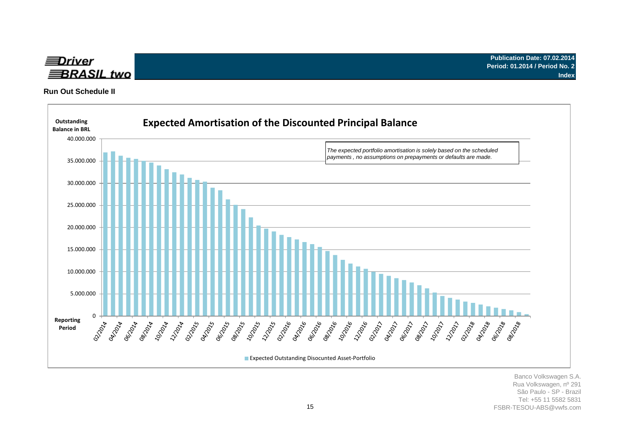

**Run Out Schedule II**

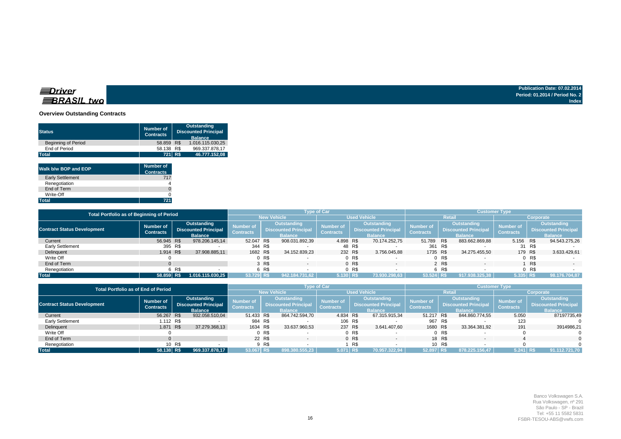#### **Overview Outstanding Contracts**

| <b>Status</b>              | <b>Number of</b><br><b>Contracts</b> |     | <b>Outstanding</b><br><b>Discounted Principal</b><br><b>Balance</b> |
|----------------------------|--------------------------------------|-----|---------------------------------------------------------------------|
| <b>Beginning of Period</b> | 58.859                               | R\$ | 1.016.115.030,25                                                    |
| End of Period              | 58.138 R\$                           |     | 969.337.878.17                                                      |
| <b>Total</b>               | 721 R\$                              |     | 46.777.152,08                                                       |
| Walk b/w BOP and EOP       | <b>Number of</b><br><b>Contracts</b> |     |                                                                     |
| <b>Early Settlement</b>    | 717                                  |     |                                                                     |
| Renegotiation              |                                      |     |                                                                     |
| End of Term                |                                      |     |                                                                     |
| Write-Off                  |                                      |     |                                                                     |
| <b>Total</b>               | 721                                  |     |                                                                     |

| Total Portfolio as of Beginning of Period              |              | <b>Type of Car</b>                         |                    |                               |                     |                                                   | <b>Customer Type</b>                 |                |                                                   |                                      |                                                   |                |                               |                                                   |                          |
|--------------------------------------------------------|--------------|--------------------------------------------|--------------------|-------------------------------|---------------------|---------------------------------------------------|--------------------------------------|----------------|---------------------------------------------------|--------------------------------------|---------------------------------------------------|----------------|-------------------------------|---------------------------------------------------|--------------------------|
|                                                        |              |                                            | <b>New Vehicle</b> |                               | <b>Used Vehicle</b> |                                                   |                                      | <b>Retail</b>  |                                                   |                                      | Corporate                                         |                |                               |                                                   |                          |
| <b>Contract Status Development</b><br><b>Contracts</b> | Number of    | Outstanding<br><b>Discounted Principal</b> |                    | Number of<br><b>Contracts</b> |                     | <b>Outstanding</b><br><b>Discounted Principal</b> | <b>Number of</b><br><b>Contracts</b> |                | <b>Outstanding</b><br><b>Discounted Principal</b> | <b>Number of</b><br><b>Contracts</b> | <b>Outstanding</b><br><b>Discounted Principal</b> |                | Number of<br><b>Contracts</b> | <b>Outstanding</b><br><b>Discounted Principal</b> |                          |
|                                                        |              |                                            | <b>Balance</b>     |                               |                     | <b>Balance</b>                                    |                                      |                | <b>Balance</b>                                    |                                      | <b>Balance</b>                                    |                |                               |                                                   | <b>Balance</b>           |
| Current                                                | 56.945 R\$   |                                            | 978.206.145,14     | 52.047 R\$                    |                     | 908.031.892,39                                    | 4.898 R\$                            |                | 70.174.252.75                                     | 51.789                               | R\$                                               | 883.662.869,88 | 5.156 R\$                     |                                                   | 94.543.275,26            |
| <b>Early Settlement</b>                                | 395 R\$      |                                            |                    | 344 R\$                       |                     |                                                   |                                      | 48 R\$         |                                                   | 361 R\$                              |                                                   |                |                               | 31 R\$                                            |                          |
| Delinquent                                             | 1.914 R\$    |                                            | 37.908.885,11      | 1682 R\$                      |                     | 34.152.839,23                                     |                                      | 232 R\$        | 3.756.045.88                                      | 1735 R\$                             |                                                   | 34.275.455.50  | 179 R\$                       |                                                   | 3.633.429,61             |
| Write Off                                              |              |                                            |                    |                               | 0 R\$               |                                                   |                                      | 0 R\$          |                                                   |                                      | 0 R\$                                             |                |                               | 0 R\$                                             |                          |
| End of Term                                            |              |                                            |                    |                               | 3 R\$               |                                                   |                                      | 0 <sub>R</sub> | $\sim$                                            |                                      | 2 R\$                                             | $\sim$         |                               | R\$                                               | $\overline{\phantom{a}}$ |
| Renegotiation                                          |              | 6 R\$                                      |                    |                               | 6 R\$               |                                                   |                                      | R\$            |                                                   |                                      | 6 R\$                                             |                |                               | R\$                                               |                          |
| <b>Total</b>                                           | $58.859$ R\$ |                                            | 1.016.115.030,25   | 53.729 R\$                    |                     | 942.184.731.62                                    | 5.130 R\$                            |                | 73.930.298.63                                     | $53.524$ R\$                         |                                                   | 917.938.325.38 | $5.335$ R\$                   |                                                   | 98.176.704.87            |

|                                    | <b>Total Portfolio as of End of Period</b> |        |                                                              |                               |         |                                                                     | <b>Type of Car</b>                   |         |                                                              |                                      |        |                                                              | <b>Customer Type</b>          |                                                              |
|------------------------------------|--------------------------------------------|--------|--------------------------------------------------------------|-------------------------------|---------|---------------------------------------------------------------------|--------------------------------------|---------|--------------------------------------------------------------|--------------------------------------|--------|--------------------------------------------------------------|-------------------------------|--------------------------------------------------------------|
|                                    |                                            |        |                                                              |                               |         | <b>New Vehicle</b>                                                  |                                      |         | <b>Used Vehicle</b>                                          |                                      |        | Retail                                                       |                               | Corporate                                                    |
| <b>Contract Status Development</b> | Number of<br><b>Contracts</b>              |        | Outstanding<br><b>Discounted Principal</b><br><b>Balance</b> | Number of<br><b>Contracts</b> |         | <b>Outstanding</b><br><b>Discounted Principal</b><br><b>Balance</b> | <b>Number of</b><br><b>Contracts</b> |         | Outstanding<br><b>Discounted Principal</b><br><b>Balance</b> | <b>Number of</b><br><b>Contracts</b> |        | Outstanding<br><b>Discounted Principal</b><br><b>Balance</b> | Number of<br><b>Contracts</b> | Outstanding<br><b>Discounted Principal</b><br><b>Balance</b> |
| Current                            | 56.267 R\$                                 |        | 932.058.510,04                                               | 51.433 R\$                    |         | 864.742.594,70                                                      | 4.834 R\$                            |         | 67.315.915,34                                                | 51.217 R\$                           |        | 844.860.774,55                                               | 5.050                         | 87197735,49                                                  |
| Early Settlement                   | 1.112 R\$                                  |        |                                                              |                               | 984 R\$ |                                                                     |                                      | 106 R\$ |                                                              | 967 R\$                              |        |                                                              | 123                           |                                                              |
| Delinquent                         | 1.871                                      | R\$    | 37.279.368,13                                                | 1634 R\$                      |         | 33.637.960,53                                                       |                                      | 237 R\$ | 3.641.407.60                                                 | 1680 R\$                             |        | 33.364.381.92                                                | 191                           | 3914986.21                                                   |
| Write Off                          |                                            |        |                                                              |                               | 0 R\$   |                                                                     |                                      | 0 R\$   |                                                              |                                      | 0 R\$  |                                                              |                               |                                                              |
| End of Term                        |                                            |        |                                                              |                               | 22 R\$  |                                                                     |                                      | 0 R\$   | $\overline{\phantom{0}}$                                     |                                      | 18 R\$ |                                                              |                               |                                                              |
| Renegotiation                      |                                            | 10 R\$ |                                                              |                               | 9 R\$   |                                                                     |                                      | R\$     |                                                              |                                      | 10 R\$ |                                                              |                               |                                                              |
| <b>Total</b>                       | 58.138 R\$                                 |        | 969.337.878,17                                               | 53.067 R\$                    |         | 898.380.555,23                                                      | $5.071$ R\$                          |         | 70.957.322,94                                                | 52.897 R\$                           |        | 878.225.156.47                                               | 5.241 R\$                     | 91.112.721,70                                                |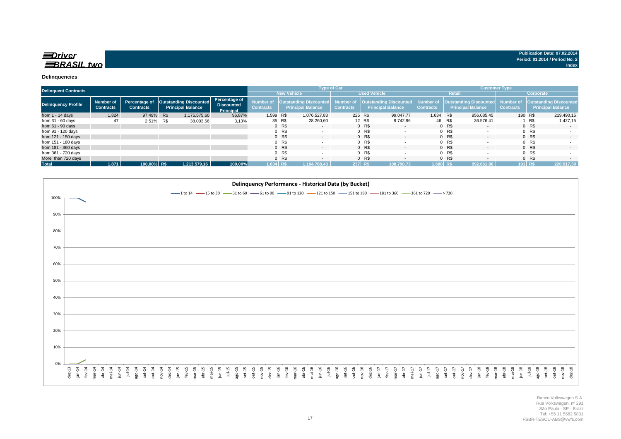|                            | <b>Delinquent Contracts</b>   |                  |     |                                                                    |                                                 |                               |         |                                                              | <b>Type of Car</b> |                 |                                                    |                               |         | <b>Customer Type</b>                               |                               |         |                                                           |
|----------------------------|-------------------------------|------------------|-----|--------------------------------------------------------------------|-------------------------------------------------|-------------------------------|---------|--------------------------------------------------------------|--------------------|-----------------|----------------------------------------------------|-------------------------------|---------|----------------------------------------------------|-------------------------------|---------|-----------------------------------------------------------|
|                            |                               |                  |     |                                                                    |                                                 |                               |         | <b>New Vehicle</b>                                           |                    |                 | <b>Used Vehicle</b>                                |                               |         | <b>Retail</b>                                      |                               |         | Corporate                                                 |
| <b>Delinquency Profile</b> | Number of<br><b>Contracts</b> | <b>Contracts</b> |     | Percentage of   Outstanding Discounted<br><b>Principal Balance</b> | Percentage of<br><b>Discounted</b><br>Principal | Number of<br><b>Contracts</b> |         | <b>Outstanding Discounted</b> Number of<br>Principal Balance | <b>Contracts</b>   |                 | Outstanding Discounted<br><b>Principal Balance</b> | Number of<br><b>Contracts</b> |         | Outstanding Discounted<br><b>Principal Balance</b> | Number of<br><b>Contracts</b> |         | <b>Outstanding Discounted</b><br><b>Principal Balance</b> |
| from $1 - 14$ days         | 1.824                         | 97.49%           | R\$ | 1.175.575.60                                                       | 96.87%                                          | 1.599 R\$                     |         | 1.076.527.83                                                 |                    | 225 R\$         | 99.047.77                                          | 1.634 R\$                     |         | 956.085.45                                         |                               | 190 R\$ | 219.490,15                                                |
| from $31 - 60$ days        | 47                            | 2,51%            | R\$ | 38.003,56                                                          | 3,13%                                           |                               | 35 R\$  | 28.260.60                                                    |                    | 12 R\$          | 9.742.96                                           |                               | 46 R\$  | 36.576.41                                          |                               | 1 R\$   | 1.427,15                                                  |
| from $61 - 90$ days        |                               |                  |     |                                                                    |                                                 |                               | 0 R\$   | $\sim$                                                       |                    | $0$ R\$         | $\sim$                                             |                               | $0$ R\$ | $\sim$                                             |                               | 0 R\$   | $\sim$                                                    |
| from 91 - 120 days         |                               |                  |     |                                                                    |                                                 |                               | $0$ R\$ |                                                              |                    | 0 R\$           | $\overline{\phantom{a}}$                           |                               | $0$ R\$ |                                                    |                               | 0 R\$   | $\sim$                                                    |
| from 121 - 150 days        |                               |                  |     |                                                                    |                                                 |                               | 0 R\$   | $\overline{\phantom{0}}$                                     |                    | $0$ R\$         |                                                    |                               | $0$ R\$ | $\overline{\phantom{0}}$                           |                               | 0 R\$   | $\sim$                                                    |
| from 151 - 180 days        |                               |                  |     |                                                                    |                                                 |                               | 0 R\$   |                                                              |                    | $0$ R\$         |                                                    |                               | $0$ R\$ |                                                    |                               | 0 R     | $\overline{\phantom{a}}$                                  |
| from 181 - 360 days        |                               |                  |     |                                                                    |                                                 |                               | 0 R\$   | $\overline{\phantom{0}}$                                     |                    | 0 <sub>RS</sub> |                                                    |                               | $0$ R\$ | $\overline{\phantom{0}}$                           |                               | 0 R\$   | $\sim$                                                    |
| from 361 - 720 days        |                               |                  |     |                                                                    |                                                 |                               | 0 R\$   |                                                              |                    | $0$ R\$         |                                                    |                               | $0$ R\$ |                                                    |                               | 0 R     |                                                           |
| More than 720 days         |                               |                  |     |                                                                    |                                                 |                               | 0 R\$   |                                                              |                    | $0$ R\$         |                                                    |                               | $0$ R\$ | $\overline{\phantom{a}}$                           |                               | 0 R\$   |                                                           |
| <b>Total</b>               | 1.871                         | 100.00% R\$      |     | 1.213.579.16                                                       | 100.00%                                         | $1.634$ R\$                   |         | 1.104.788.43                                                 | 237 R\$            |                 | 108.790.73                                         | $1.680$ R\$                   |         | 992.661.86                                         |                               | 191 R\$ | 220.917,30                                                |

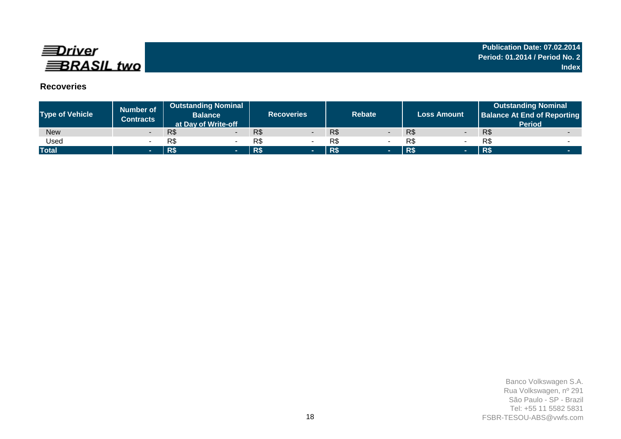

# **Recoveries**

| <b>Type of Vehicle</b> | <b>Number of</b><br><b>Contracts</b> | <b>Outstanding Nominal</b><br><b>Balance</b><br>at Day of Write-off | <b>Recoveries</b> | <b>Rebate</b> | <b>Loss Amount</b> | <b>Outstanding Nominal</b><br><b>Balance At End of Reporting</b><br><b>Period</b> |
|------------------------|--------------------------------------|---------------------------------------------------------------------|-------------------|---------------|--------------------|-----------------------------------------------------------------------------------|
| <b>New</b>             |                                      | R\$<br>$\overline{\phantom{0}}$                                     | R\$               | R\$           | R\$                | R\$                                                                               |
| Used                   |                                      | R\$                                                                 | R\$               | R\$           | R\$                | R\$                                                                               |
| <b>Total</b>           | <b>1979</b>                          | R\$                                                                 | R\$<br>-          | R\$<br>-      | <b>R\$</b><br>- -  | <b>R\$</b>                                                                        |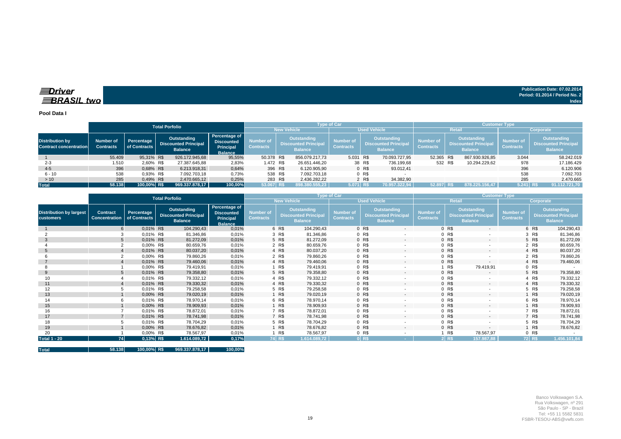### $\equiv$ Driver **BRASIL** two

**Total 58.138 100,00% R\$ 969.337.878,17 100,00%**

**Publication Date: 07.02.2014 Period: 01.2014 / Period No. 2 Index**

**Pool Data I**

|                                                         |                                      |                            | <b>Total Porfolio</b>                                        |                                                                          |                               |                                                              | <b>Type of Car</b>            |        |                                                              |                               |               | <b>Customer Type</b>                                                |                               |                                                              |
|---------------------------------------------------------|--------------------------------------|----------------------------|--------------------------------------------------------------|--------------------------------------------------------------------------|-------------------------------|--------------------------------------------------------------|-------------------------------|--------|--------------------------------------------------------------|-------------------------------|---------------|---------------------------------------------------------------------|-------------------------------|--------------------------------------------------------------|
|                                                         |                                      |                            |                                                              |                                                                          |                               | <b>New Vehicle</b>                                           |                               |        | <b>Used Vehicle</b>                                          |                               | <b>Retail</b> |                                                                     |                               | Corporate                                                    |
| <b>Distribution by</b><br><b>Contract concentration</b> | <b>Number of</b><br><b>Contracts</b> | Percentage<br>of Contracts | Outstanding<br><b>Discounted Principal</b><br><b>Balance</b> | Percentage of<br><b>Discounted</b><br><b>Principal</b><br><b>Balance</b> | Number of<br><b>Contracts</b> | Outstanding<br><b>Discounted Principal</b><br><b>Balance</b> | Number of<br><b>Contracts</b> |        | Outstanding<br><b>Discounted Principal</b><br><b>Balance</b> | Number of<br><b>Contracts</b> |               | <b>Outstanding</b><br><b>Discounted Principal</b><br><b>Balance</b> | Number of<br><b>Contracts</b> | Outstanding<br><b>Discounted Principal</b><br><b>Balance</b> |
|                                                         | 55.409                               | 95,31% R\$                 | 926.172.945,68                                               | 95,55%                                                                   | 50.378 R\$                    | 856.079.217.73                                               | 5.031 R\$                     |        | 70.093.727.95                                                | 52.365 R\$                    |               | 867.930.926.85                                                      | 3.044                         | 58.242.019                                                   |
| $2 - 3$                                                 | 1.510                                | 2,60% R\$                  | 27.387.645.88                                                | 2,83%                                                                    | 1.472 R\$                     | 26.651.446.20                                                |                               | 38 R\$ | 736.199.68                                                   | 532 R\$                       |               | 10.294.229.62                                                       | 978                           | 17.186.429                                                   |
| $4 - 5$                                                 | 396                                  | 0.68% R\$                  | 6.213.918,31                                                 | 0,64%                                                                    | 396 R\$                       | 6.120.905,90                                                 |                               | 0 R\$  | 93.012.41                                                    |                               |               |                                                                     | 396                           | 6.120.906                                                    |
| $6 - 10$                                                | 538                                  | 0.93% R\$                  | 7.092.703,18                                                 | 0,73%                                                                    | 538 R\$                       | 7.092.703,18                                                 |                               | 0 R\$  |                                                              |                               |               |                                                                     | 538                           | 7.092.703                                                    |
| >10                                                     | 285                                  | 0.49% R\$                  | 2.470.665.12                                                 | 0,25%                                                                    | 283 R\$                       | 2.436.282,22                                                 |                               | 2 R\$  | 34.382.90                                                    |                               |               |                                                                     | 285                           | 2.470.665                                                    |
| Total                                                   | 58.138                               | 100,00% R\$                | 969.337.878,17                                               | 100.00%                                                                  | 53.067 R\$                    | 898.380.555.23                                               | 5.071 R\$                     |        | 70.957.322.94                                                | 52.897 R\$                    |               | 878.225.156.47                                                      | $5.241$ R\$                   | 91.112.721,70                                                |

|                                                    |                                                      |              | <b>Total Porfolio</b>                                        |                                                                          |                                      |        | <b>Type of Car</b>                                           |                                      |                                                              |                          |                                      |         | <b>Customer Type</b>                                                |                               |           |                                                                     |
|----------------------------------------------------|------------------------------------------------------|--------------|--------------------------------------------------------------|--------------------------------------------------------------------------|--------------------------------------|--------|--------------------------------------------------------------|--------------------------------------|--------------------------------------------------------------|--------------------------|--------------------------------------|---------|---------------------------------------------------------------------|-------------------------------|-----------|---------------------------------------------------------------------|
|                                                    |                                                      |              |                                                              |                                                                          |                                      |        | <b>New Vehicle</b>                                           |                                      | <b>Used Vehicle</b>                                          |                          |                                      |         | <b>Retail</b>                                                       |                               | Corporate |                                                                     |
| <b>Distribution by largest</b><br><b>customers</b> | <b>Contract</b><br><b>Concentration</b> of Contracts | Percentage   | Outstanding<br><b>Discounted Principal</b><br><b>Balance</b> | Percentage of<br><b>Discounted</b><br><b>Principal</b><br><b>Balance</b> | <b>Number of</b><br><b>Contracts</b> |        | Outstanding<br><b>Discounted Principal</b><br><b>Balance</b> | <b>Number of</b><br><b>Contracts</b> | Outstanding<br><b>Discounted Principal</b><br><b>Balance</b> |                          | <b>Number of</b><br><b>Contracts</b> |         | <b>Outstanding</b><br><b>Discounted Principal</b><br><b>Balance</b> | Number of<br><b>Contracts</b> |           | <b>Outstanding</b><br><b>Discounted Principal</b><br><b>Balance</b> |
|                                                    |                                                      | 0,01% R\$    | 104.290,43                                                   | 0,01%                                                                    |                                      | 6 R\$  | 104.290,43                                                   |                                      | 0 R\$                                                        | $\overline{\phantom{a}}$ |                                      | 0 R\$   | $\overline{\phantom{a}}$                                            |                               | 6 R\$     | 104.290,43                                                          |
|                                                    |                                                      | 0,01% R\$    | 81.346,86                                                    | 0,01%                                                                    |                                      | 3 R\$  | 81.346,86                                                    |                                      | 0 R\$                                                        | $\overline{\phantom{a}}$ |                                      | 0 R\$   | $\overline{\phantom{a}}$                                            |                               | 3 R\$     | 81.346,86                                                           |
| 3                                                  |                                                      | 0,01% R\$    | 81.272,09                                                    | 0,01%                                                                    |                                      | 5 R\$  | 81.272,09                                                    |                                      | 0 R\$                                                        | $\overline{a}$           |                                      | 0 R\$   | $\sim$                                                              |                               | 5 R\$     | 81.272,09                                                           |
|                                                    |                                                      | 0,00% R\$    | 80.659,76                                                    | 0,01%                                                                    |                                      | 2 R\$  | 80.659,76                                                    |                                      | 0 R\$                                                        |                          |                                      | 0 R\$   |                                                                     |                               | 2 R\$     | 80.659,76                                                           |
| 5                                                  |                                                      | 0,01% R\$    | 80.037,20                                                    | 0,01%                                                                    |                                      | 4 R\$  | 80.037,20                                                    |                                      | 0 R\$                                                        | $\sim$                   |                                      | 0 R\$   |                                                                     |                               | 4 R\$     | 80.037,20                                                           |
|                                                    |                                                      | 0,00% R\$    | 79.860,26                                                    | 0,01%                                                                    |                                      | 2 R\$  | 79.860,26                                                    |                                      | 0 R\$                                                        |                          |                                      | 0 R\$   |                                                                     |                               | 2 R\$     | 79.860,26                                                           |
|                                                    |                                                      | 0,01% R\$    | 79.460,06                                                    | 0,01%                                                                    |                                      | 4 R\$  | 79.460,06                                                    |                                      | 0 R\$                                                        | $\overline{\phantom{a}}$ |                                      | 0 R\$   | $\overline{\phantom{a}}$                                            |                               | 4 R\$     | 79.460,06                                                           |
|                                                    |                                                      | 0,00% R\$    | 79.419,91                                                    | 0,01%                                                                    |                                      | 1 R\$  | 79.419,91                                                    |                                      | 0 R\$                                                        |                          |                                      | R\$     | 79.419,91                                                           |                               | 0 R\$     |                                                                     |
| 9                                                  |                                                      | 0,01% R\$    | 79.358,80                                                    | 0,01%                                                                    |                                      | 5 R\$  | 79.358,80                                                    |                                      | 0 R\$                                                        | $\overline{a}$           |                                      | 0 R\$   | $\overline{\phantom{a}}$                                            |                               | 5 R\$     | 79.358,80                                                           |
| 10                                                 |                                                      | 0,01% R\$    | 79.332,12                                                    | 0,01%                                                                    |                                      | 4 R\$  | 79.332,12                                                    |                                      | 0 R\$                                                        | $\overline{\phantom{a}}$ |                                      | 0 R\$   |                                                                     |                               | 4 R\$     | 79.332,12                                                           |
| 11                                                 |                                                      | 0,01% R\$    | 79.330,32                                                    | 0,01%                                                                    |                                      | 4 R\$  | 79.330,32                                                    |                                      | 0 R\$                                                        | $\overline{a}$           |                                      | 0 R\$   | $\sim$                                                              |                               | 4 R\$     | 79.330,32                                                           |
| 12                                                 |                                                      | 0,01% R\$    | 79.258,58                                                    | 0,01%                                                                    |                                      | 5 R\$  | 79.258,58                                                    |                                      | 0 R\$                                                        | $\overline{\phantom{a}}$ |                                      | 0 R\$   |                                                                     |                               | 5 R\$     | 79.258,58                                                           |
| 13                                                 |                                                      | 0,00% R\$    | 79.020,19                                                    | 0,01%                                                                    |                                      | 1 R\$  | 79.020,19                                                    |                                      | 0 R\$                                                        | $\sim$                   |                                      | 0 R\$   | $\sim$                                                              |                               | R\$       | 79.020,19                                                           |
| 14                                                 |                                                      | 0,01% R\$    | 78.970.14                                                    | 0,01%                                                                    |                                      | 6 R\$  | 78.970,14                                                    |                                      | 0 R\$                                                        |                          |                                      | 0 R\$   |                                                                     |                               | 6 R\$     | 78.970,14                                                           |
| 15                                                 |                                                      | 0,00% R\$    | 78.909,93                                                    | 0,01%                                                                    |                                      | 1 R\$  | 78.909,93                                                    |                                      | 0 R\$                                                        | $\sim$                   |                                      | 0 R\$   | $\sim$                                                              |                               | R\$       | 78.909,93                                                           |
| 16                                                 |                                                      | 0,01% R\$    | 78.872,01                                                    | 0,01%                                                                    |                                      | 7 R\$  | 78.872,01                                                    |                                      | 0 R\$                                                        | $\overline{\phantom{a}}$ |                                      | 0 R\$   |                                                                     |                               | R\$       | 78.872,01                                                           |
| 17                                                 |                                                      | 0,01% R\$    | 78.741.98                                                    | 0,01%                                                                    |                                      | 7 R\$  | 78.741,98                                                    |                                      | 0 <sub>R</sub>                                               | $\overline{\phantom{a}}$ |                                      | 0 R\$   | $\overline{\phantom{a}}$                                            |                               | 7 R\$     | 78.741,98                                                           |
| 18                                                 |                                                      | 0,01% R\$    | 78.704,29                                                    | 0,01%                                                                    |                                      | 5 R\$  | 78.704,29                                                    |                                      | 0 R\$                                                        | $\overline{\phantom{a}}$ |                                      | 0 R\$   |                                                                     |                               | 5 R\$     | 78.704,29                                                           |
| 19                                                 |                                                      | 0,00% R\$    | 78.676,82                                                    | 0,01%                                                                    |                                      | 1 R\$  | 78.676,82                                                    |                                      | 0 R\$                                                        | $\overline{\phantom{a}}$ |                                      | 0 R\$   | $\overline{\phantom{a}}$                                            |                               | R\$       | 78.676,82                                                           |
| 20                                                 |                                                      | 0,00% R\$    | 78.567,97                                                    | 0,01%                                                                    |                                      | R\$    | 78.567,97                                                    |                                      | 0 R\$                                                        |                          |                                      | R\$     | 78.567,97                                                           |                               | 0 R\$     |                                                                     |
| <b>Total 1 - 20</b>                                | 74                                                   | $0.13\%$ R\$ | 1.614.089,72                                                 | 0,17%                                                                    |                                      | 74 R\$ | 1.614.089.72                                                 |                                      | 0 RS                                                         |                          |                                      | $2$ R\$ | 157.987,88                                                          |                               | 72 R\$    | 1.456.101.84                                                        |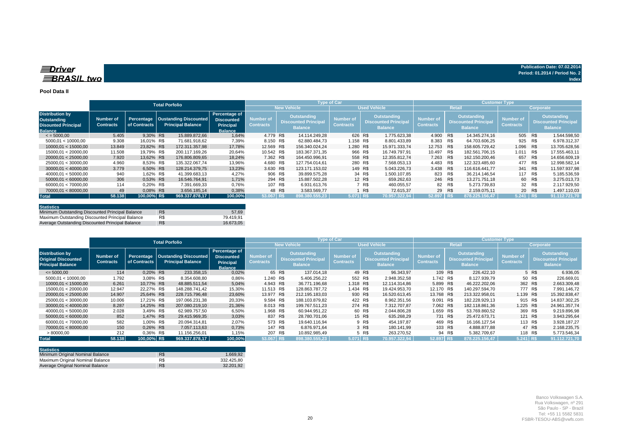#### **Pool Data II**

|                                                                                       |                               |                            | <b>Total Porfolio</b>                             |                                                                          |                                      |         |                                                              | <b>Type of Car</b>                   |        |                                                              |                                      |               | <b>Customer Type</b>                                         |                                      |           |                                                                     |
|---------------------------------------------------------------------------------------|-------------------------------|----------------------------|---------------------------------------------------|--------------------------------------------------------------------------|--------------------------------------|---------|--------------------------------------------------------------|--------------------------------------|--------|--------------------------------------------------------------|--------------------------------------|---------------|--------------------------------------------------------------|--------------------------------------|-----------|---------------------------------------------------------------------|
|                                                                                       |                               |                            |                                                   |                                                                          |                                      |         | <b>New Vehicle</b>                                           |                                      |        | <b>Used Vehicle</b>                                          |                                      | <b>Retail</b> |                                                              |                                      | Corporate |                                                                     |
| <b>Distribution by</b><br>Outstanding<br><b>Disounted Principal</b><br><b>Balance</b> | Number of<br><b>Contracts</b> | Percentage<br>of Contracts | Oustanding Discounted<br><b>Principal Balance</b> | Percentage of<br><b>Discounted</b><br><b>Principal</b><br><b>Balance</b> | <b>Number of</b><br><b>Contracts</b> |         | Outstanding<br><b>Discounted Principal</b><br><b>Balance</b> | <b>Number of</b><br><b>Contracts</b> |        | Outstanding<br><b>Discounted Principal</b><br><b>Balance</b> | <b>Number of</b><br><b>Contracts</b> |               | Outstanding<br><b>Discounted Principal</b><br><b>Balance</b> | <b>Number of</b><br><b>Contracts</b> |           | <b>Outstanding</b><br><b>Discounted Principal</b><br><b>Balance</b> |
| $\le$ = 5000,00                                                                       | 5.405                         | 9,30% R\$                  | 15.889.872,66                                     | 1,64%                                                                    | 4.779 R\$                            |         | 14.114.249.28                                                | 626 R\$                              |        | 1.775.623.38                                                 | 4.900 R\$                            |               | 14.345.274.16                                                | 505 R\$                              |           | 1.544.598,50                                                        |
| 5000.01 < 10000.00                                                                    | 9.308                         | 16.01% R\$                 | 71.681.918.62                                     | 7,39%                                                                    | 8.150 R\$                            |         | 62.880.484.73                                                | 1.158 R\$                            |        | 8.801.433,89                                                 | 8.383 R\$                            |               | 64.703.606.25                                                | 925 R\$                              |           | 6.978.312,37                                                        |
| 10000.01 < 15000.00                                                                   | 13.849                        | 23,82% R\$                 | 172.311.357,98                                    | 17,78%                                                                   | 12.569 R\$                           |         | 156.340.024.24                                               | 1.280 R\$                            |        | 15.971.333.74                                                | 12.753 R\$                           |               | 158.605.729.42                                               | 1.096 R\$                            |           | 13.705.628,56                                                       |
| 15000.01 < 20000.00                                                                   | 11.508                        | 19.79% R\$                 | 200.117.169,26                                    | 20,64%                                                                   | 10.542 R\$                           |         | 183.367.371.35                                               | 966 R\$                              |        | 16.749.797.91                                                | 10.497                               | R\$           | 182.561.706.15                                               | 1.011 R\$                            |           | 17.555.463,11                                                       |
| 20000.01 < 25000.00                                                                   | 7.920                         | 13,62% R\$                 | 176.806.809.65                                    | 18,24%                                                                   | 7.362 R\$                            |         | 164.450.996.91                                               | 558 R\$                              |        | 12.355.812.74                                                | 7.263 R\$                            |               | 162.150.200.46                                               | 657 R\$                              |           | 14.656.609,19                                                       |
| 25000.01 < 30000.00                                                                   | 4.960                         | 8.53% R\$                  | 135.322.067.74                                    | 13,96%                                                                   | 4.680 R\$                            |         | 127.754.014.61                                               | 280 R\$                              |        | 7.568.053.13                                                 | 4.483 R\$                            |               | 122.323.485.60                                               | 477 R\$                              |           | 12.998.582.14                                                       |
| 30000.01 < 40000.00                                                                   | 3.779                         | 6.50% R\$                  | 128.214.379.75                                    | 13,23%                                                                   | 3.630 R\$                            |         | 123.171.153.02                                               | 149 R\$                              |        | 5.043.226.73                                                 | 3.438 R\$                            |               | 116.616.441.77                                               | 341 R\$                              |           | 11.597.937,98                                                       |
| 40000.01 < 50000.00                                                                   | 940                           | 1.62% R\$                  | 41.399.683.13                                     | 4,27%                                                                    |                                      | 906 R\$ | 39.899.575.28                                                |                                      | 34 R\$ | 1.500.107.85                                                 | 823 R\$                              |               | 36.214.146.54                                                | 117 R\$                              |           | 5.185.536.59                                                        |
| 50000.01 < 60000.00                                                                   | 306                           | 0.53% R\$                  | 16.546.764.91                                     | 1.71%                                                                    |                                      | 294 R\$ | 15.887.502.28                                                |                                      | 12 R\$ | 659.262.63                                                   | 246 R\$                              |               | 13.271.751.18                                                |                                      | 60 R\$    | 3.275.013,73                                                        |
| 60000.01 < 70000.00                                                                   | 114                           | 0.20% R\$                  | 7.391.669,33                                      | 0,76%                                                                    |                                      | 107 R\$ | 6.931.613.76                                                 |                                      | 7 R\$  | 460.055,57                                                   | 82 R\$                               |               | 5.273.739,83                                                 |                                      | 32 R\$    | 2.117.929,50                                                        |
| 70000,01 < 80000,00                                                                   | 49                            | 0.08% R\$                  | 3.656.185.14                                      | 0,38%                                                                    |                                      | 48 R\$  | 3.583.569.77                                                 |                                      | 1 R\$  | 72.615.37                                                    | 29 R\$                               |               | 2.159.075.11                                                 |                                      | 20 R\$    | 1.497.110,03                                                        |
| <b>Total</b>                                                                          | 58.138                        | 100,00% R\$                | 969.337.878,17                                    | 100,00%                                                                  | 53.067 R\$                           |         | 898.380.555.23                                               | 5.071 R\$                            |        | 70.957.322.94                                                | 52.897 R\$                           |               | 878.225.156.47                                               | $5.241$ R\$                          |           | 91.112.721,70                                                       |

| <b>Statistics</b>                                |     |           |
|--------------------------------------------------|-----|-----------|
| Minimum Outstanding Discounted Principal Balance | R\$ | 57.69     |
| Maximum Outstanding Discounted Principal Balance | R\$ | 79.419.91 |
| Average Outstanding Discounted Principal Balance | R\$ | 16.673.05 |

|                                                                                  |                               | <b>Total Porfolio</b>             |  |                                                          |                                                                          | <b>Type of Car</b>                         |                                                                     |                    |                                      |        |                                                              | <b>Customer Type</b>                 |        |                                                              |                                      |        |                                                                     |
|----------------------------------------------------------------------------------|-------------------------------|-----------------------------------|--|----------------------------------------------------------|--------------------------------------------------------------------------|--------------------------------------------|---------------------------------------------------------------------|--------------------|--------------------------------------|--------|--------------------------------------------------------------|--------------------------------------|--------|--------------------------------------------------------------|--------------------------------------|--------|---------------------------------------------------------------------|
|                                                                                  |                               |                                   |  |                                                          |                                                                          |                                            |                                                                     | <b>New Vehicle</b> |                                      |        | <b>Used Vehicle</b>                                          |                                      |        | Retail                                                       |                                      |        | Corporate                                                           |
| <b>Distribution by</b><br><b>Original Discounted</b><br><b>Principal Balance</b> | Number of<br><b>Contracts</b> | <b>Percentage</b><br>of Contracts |  | <b>Oustanding Discounted</b><br><b>Principal Balance</b> | Percentage of<br><b>Discounted</b><br><b>Principal</b><br><b>Balance</b> | <b>Number of</b><br>Contracts <sup>1</sup> | <b>Outstanding</b><br><b>Discounted Principal</b><br><b>Balance</b> |                    | <b>Number of</b><br><b>Contracts</b> |        | Outstanding<br><b>Discounted Principal</b><br><b>Balance</b> | <b>Number of</b><br><b>Contracts</b> |        | Outstanding<br><b>Discounted Principal</b><br><b>Balance</b> | <b>Number of</b><br><b>Contracts</b> |        | <b>Outstanding</b><br><b>Discounted Principal</b><br><b>Balance</b> |
| $\leq 5000,00$                                                                   | 114                           | 0,20% R\$                         |  | 233.358,15                                               | 0,02%                                                                    |                                            | 65 R\$                                                              | 137.014.18         |                                      | 49 R\$ | 96.343.97                                                    | 109 R\$                              |        | 226.422.10                                                   |                                      | 5 R\$  | 6.936,05                                                            |
| 5000.01 < 10000.00                                                               | 1.792                         | 3.08% R\$                         |  | 8.354.608.80                                             | 0,86%                                                                    | 1.240 R\$                                  |                                                                     | 5.406.256,22       | 552 R\$                              |        | 2.948.352.58                                                 | 1.742 R\$                            |        | 8.127.939,79                                                 |                                      | 50 R\$ | 226.669,01                                                          |
| 10000,01 < 15000,00                                                              | 6.261                         | 10,77% R\$                        |  | 48.885.511.54                                            | 5,04%                                                                    | 4.943 R\$                                  |                                                                     | 36.771.196,68      | 1.318 R\$                            |        | 12.114.314.86                                                | 5.899 R\$                            |        | 46.222.202.06                                                | 362 R\$                              |        | 2.663.309,48                                                        |
| 15000.01 < 20000.00                                                              | 12.947                        | 22.27% R\$                        |  | 148.288.741.42                                           | 15,30%                                                                   | 11.513 R\$                                 |                                                                     | 128.863.787.72     | 1.434 R\$                            |        | 19.424.953.70                                                | 12.170 R\$                           |        | 140.297.594.70                                               | 777 R\$                              |        | 7.991.146,72                                                        |
| 20000,01 < 25000,00                                                              | 14.907                        | 25,64% R\$                        |  | 228.715.796.48                                           | 23,60%                                                                   | 13.977 R\$                                 |                                                                     | 212.195.183.03     | 930 R\$                              |        | 16.520.613,45                                                | 13.768 R\$                           |        | 213.322.958.01                                               | 1.139 R\$                            |        | 15.392.838,47                                                       |
| 25000.01 < 30000.00                                                              | 10.006                        | 17.21% R\$                        |  | 197.066.231.38                                           | 20,33%                                                                   | 9.584 R\$                                  |                                                                     | 188.103.879.82     | 422 R\$                              |        | 8.962.351.56                                                 | 9.091 R\$                            |        | 182.228.929.13                                               | 915 R\$                              |        | 14.837.302.25                                                       |
| 30000,01 < 40000,00                                                              | 8.287                         | 14,25% R\$                        |  | 207.080.219,10                                           | 21,36%                                                                   | 8.013 R\$                                  |                                                                     | 199.767.511,23     | 274 R\$                              |        | 7.312.707.87                                                 | 7.062 R\$                            |        | 182.118.861,36                                               | 1.225 R\$                            |        | 24.961.357,74                                                       |
| 40000.01 < 50000.00                                                              | 2.028                         | 3.49% R\$                         |  | 62.989.757.50                                            | 6,50%                                                                    | 1.968 R\$                                  |                                                                     | 60.944.951.22      |                                      | 60 R\$ | 2.044.806.28                                                 | 1.659 R\$                            |        | 53.769.860.52                                                | 369 R\$                              |        | 9.219.896,98                                                        |
| 50000,01 < 60000,00                                                              | 852                           | 1.47% R\$                         |  | 29.415.969.35                                            | 3,03%                                                                    | 837 R\$                                    |                                                                     | 28.780.701.06      |                                      | 15 R\$ | 635.268,29                                                   | 731 R\$                              |        | 25.472.673.71                                                | 121 R\$                              |        | 3.943.295,64                                                        |
| 60000,01 < 70000,00                                                              | 582                           | 1,00% R\$                         |  | 20.094.314.81                                            | 2,07%                                                                    | 573 R\$                                    |                                                                     | 19.640.116,94      |                                      | 9 R\$  | 454.197,87                                                   | 469 R\$                              |        | 16.166.127.54                                                | 113 R\$                              |        | 3.928.187,27                                                        |
| 70000,01 < 80000,00                                                              | 150                           | 0,26% R\$                         |  | 7.057.113.63                                             | 0,73%                                                                    | 147 R\$                                    |                                                                     | 6.876.971.64       |                                      | 3 R\$  | 180.141.99                                                   | 103 R\$                              |        | 4.888.877.88                                                 |                                      | 47 R\$ | 2.168.235,75                                                        |
| >80000,00                                                                        | 212                           | 0,36% R\$                         |  | 11.156.256,01                                            | 1,15%                                                                    | 207 R\$                                    |                                                                     | 10.892.985,49      |                                      | 5 R\$  | 263.270,52                                                   |                                      | 94 R\$ | 5.382.709,67                                                 | 118 R\$                              |        | 5.773.546,34                                                        |
| <b>Total</b>                                                                     | 58.138                        | 100,00% R\$                       |  | 969.337.878,17                                           | 100,00%                                                                  | 53.067 R\$                                 |                                                                     | 898.380.555.23     | 5.071 R\$                            |        | 70.957.322.94                                                | 52.897 R\$                           |        | 878.225.156.47                                               | $5.241$ RS                           |        | 91.112.721.70                                                       |

| <b>Statistics</b>                |     |            |
|----------------------------------|-----|------------|
| Minimum Original Nominal Balance | R\$ | 1.669.92   |
| Maximum Original Nominal Balance | R\$ | 332.425.80 |
| Average Original Nominal Balance | R\$ | 32.201.92  |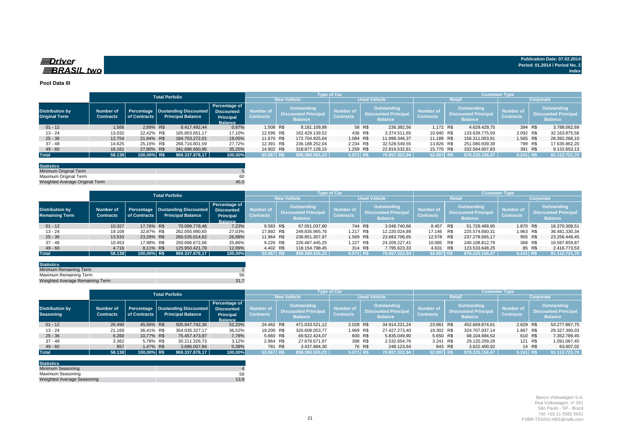### **Spriver BRASIL** two

#### **Pool Data III**

|                                                |                               |              | <b>Total Porfolio</b>                                            |                                                                          |                               |                                                              | <b>Type of Car</b>                   |             |                                                              |                               |                                                                    | <b>Customer Type</b>                 |         |                                                              |
|------------------------------------------------|-------------------------------|--------------|------------------------------------------------------------------|--------------------------------------------------------------------------|-------------------------------|--------------------------------------------------------------|--------------------------------------|-------------|--------------------------------------------------------------|-------------------------------|--------------------------------------------------------------------|--------------------------------------|---------|--------------------------------------------------------------|
|                                                |                               |              |                                                                  |                                                                          |                               | <b>New Vehicle</b>                                           |                                      |             | <b>Used Vehicle</b>                                          |                               | Retail                                                             |                                      |         | Corporate                                                    |
| <b>Distribution by</b><br><b>Original Term</b> | Number of<br><b>Contracts</b> | of Contracts | Percentage   Oustanding Discounted  <br><b>Principal Balance</b> | Percentage of<br><b>Discounted</b><br><b>Principal</b><br><b>Balance</b> | Number of<br><b>Contracts</b> | Outstanding<br><b>Discounted Principal</b><br><b>Balance</b> | <b>Number of</b><br><b>Contracts</b> |             | Outstanding<br><b>Discounted Principal</b><br><b>Balance</b> | Number of<br><b>Contracts</b> | <b>Outstanding</b><br><b>Discounted Principa</b><br><b>Balance</b> | <b>Number of</b><br><b>Contracts</b> |         | Outstanding<br><b>Discounted Principal</b><br><b>Balance</b> |
| $01 - 12$                                      | 1.566                         | 2.69% R\$    | 8.417.492.44                                                     | 0,87%                                                                    | 1.508 R\$                     | 8.181.109,88                                                 |                                      | 58 R\$      | 236.382.56                                                   | 1.172 R\$                     | 4.629.429.75                                                       |                                      | 394 R\$ | 3.788.062,69                                                 |
| $13 - 24$                                      | 13.032                        | 22,42% R\$   | 165.803.651,17                                                   | 17,10%                                                                   | 12.596 R\$                    | 162.429.139,52                                               |                                      | 436 R\$     | 3.374.511,65                                                 | 10.940 R\$                    | 133.639.775,59                                                     | 2.092 R\$                            |         | 32.163.875,58                                                |
| $25 - 36$                                      | 12.754                        | 21.94% R\$   | 184.703.272.01                                                   | 19,05%                                                                   | 11.670 R\$                    | 172.704.925.64                                               |                                      | 1.084 R\$   | 11.998.346.37                                                | 11.189 R\$                    | 156.311.003.91                                                     | 1.565 R\$                            |         | 28.392.268,10                                                |
| 37 - 48                                        | 14.625                        | 25,16% R\$   | 268.716.801,59                                                   | 27.72%                                                                   | 12.391 R\$                    | 236.188.252.04                                               |                                      | 2.234 R\$   | 32.528.549,55                                                | 13.826 R\$                    | 251.080.939,39                                                     |                                      | 799 R\$ | 17.635.862,20                                                |
| $49 - 60$                                      | 16.161                        | 27,80% R\$   | 341.696.660,96                                                   | 35,25%                                                                   | 14.902 R\$                    | 318.877.128.15                                               |                                      | 1.259 R\$   | 22.819.532,81                                                | 15.770 R\$                    | 332.564.007,83                                                     |                                      | 391 R\$ | 9.132.653,13                                                 |
| <b>Total</b>                                   | 58.138                        | 100,00% R\$  | 969.337.878.17                                                   | 100,00%                                                                  | 53.067 R\$                    | 898.380.555.23                                               |                                      | $5.071$ R\$ | 70.957.322.94                                                | 52.897 R\$                    | 878.225.156.47                                                     | $5.241$ R\$                          |         | 91.112.721.70                                                |

| <b>Statistics</b>              |      |
|--------------------------------|------|
| Minimum Original Term          |      |
| Maximum Original Term          | 60   |
| Weighted Average Original Term | 45.5 |

|                                                 |                                      |              | <b>Total Porfolio</b>                                            |                                                                          |                                      |                    |                                                              | <b>Type of Car</b>            |                                                                     |                                      |               |                                                                     | <b>Customer Type</b>                 |                                                              |
|-------------------------------------------------|--------------------------------------|--------------|------------------------------------------------------------------|--------------------------------------------------------------------------|--------------------------------------|--------------------|--------------------------------------------------------------|-------------------------------|---------------------------------------------------------------------|--------------------------------------|---------------|---------------------------------------------------------------------|--------------------------------------|--------------------------------------------------------------|
|                                                 |                                      |              |                                                                  |                                                                          |                                      | <b>New Vehicle</b> |                                                              |                               | <b>Used Vehicle</b>                                                 |                                      | <b>Retail</b> |                                                                     |                                      | Corporate                                                    |
| <b>Distribution by</b><br><b>Remaining Term</b> | <b>Number of</b><br><b>Contracts</b> | of Contracts | Percentage   Oustanding Discounted  <br><b>Principal Balance</b> | Percentage of<br><b>Discounted</b><br><b>Principal</b><br><b>Balance</b> | <b>Number of</b><br><b>Contracts</b> |                    | Outstanding<br><b>Discounted Principal</b><br><b>Balance</b> | Number of<br><b>Contracts</b> | <b>Outstanding</b><br><b>Discounted Principal</b><br><b>Balance</b> | <b>Number of</b><br><b>Contracts</b> |               | <b>Outstanding</b><br><b>Discounted Principal</b><br><b>Balance</b> | <b>Number of</b><br><b>Contracts</b> | Outstanding<br><b>Discounted Principal</b><br><b>Balance</b> |
| $01 - 12$                                       | 10.327                               | 17.76% R\$   | 70.099.778.46                                                    | 7,23%                                                                    | 9.583 R\$                            |                    | 67.051.037.80                                                | 744 R\$                       | 3.048.740.66                                                        | 8.457 R\$                            |               | 51.729.469.95                                                       | 1.870 R\$                            | 18.370.308.51                                                |
| $13 - 24$                                       | 19.109                               | 32.87% R\$   | 262.055.990.65                                                   | 27,03%                                                                   | 17.892 R\$                           |                    | 249.835.965,76                                               | 1.217 R\$                     | 12.220.024,89                                                       | 17.146 R\$                           |               | 225.574.660.31                                                      | 1.963 R\$                            | 36.481.330.34                                                |
| $25 - 36$                                       | 13.533                               | 23.28% R\$   | 260.535.014.62                                                   | 26,88%                                                                   | 11.964 R\$                           |                    | 236.851.307,97                                               | 1.569 R\$                     | 23.683.706,65                                                       | 12.578 R\$                           |               | 237.278.565.17                                                      | 955 R\$                              | 23.256.449,45                                                |
| $37 - 48$                                       | 10.453                               | 17.98% R\$   | 250.696.672,66                                                   | 25,86%                                                                   | 9.226 R\$                            |                    | 226.487.445.25                                               | 1.227 R\$                     | 24.209.227.41                                                       | 10.085 R\$                           |               | 240.108.812,79                                                      | 368 R\$                              | 10.587.859,87                                                |
| $49 - 60$                                       | 4.716                                | 8.11% R\$    | 125.950.421.78                                                   | 12,99%                                                                   | 4.402 R\$                            |                    | 118.154.798.45                                               | 314 R\$                       | 7.795.623.33                                                        | 4.631 R\$                            |               | 123.533.648,25                                                      |                                      | 85 R\$<br>2.416.773,53                                       |
| <b>Total</b>                                    | 58.138                               | 100,00% R\$  | 969.337.878.17                                                   | 100,00%                                                                  | 53.067 R\$                           |                    | 898.380.555,23                                               | 5.071 R\$                     | 70.957.322.94                                                       | 52.897 R\$                           |               | 878.225.156.47                                                      | $5.241$ R\$                          | 91.112.721.70                                                |

| <b>Statistics</b>               |      |
|---------------------------------|------|
| Minimum Remaining Term          |      |
| Maximum Remaining Term          |      |
| Weighted Average Remaining Term | 31.7 |

|                                            |                               |              | <b>Total Porfolio</b>                                                                                                               |         | 「vpe of Car                          |                                                              |                |                               |                                                                     |               |                                      | Customer Type                                                       |                |                               |         |                                                                     |  |  |
|--------------------------------------------|-------------------------------|--------------|-------------------------------------------------------------------------------------------------------------------------------------|---------|--------------------------------------|--------------------------------------------------------------|----------------|-------------------------------|---------------------------------------------------------------------|---------------|--------------------------------------|---------------------------------------------------------------------|----------------|-------------------------------|---------|---------------------------------------------------------------------|--|--|
|                                            |                               |              |                                                                                                                                     |         | <b>New Vehicle</b>                   |                                                              |                | <b>Used Vehicle</b>           |                                                                     |               |                                      | Retail                                                              | Corporate      |                               |         |                                                                     |  |  |
| <b>Distribution by</b><br><b>Seasoning</b> | Number of<br><b>Contracts</b> | of Contracts | Percentage of<br>Percentage   Oustanding Discounted<br><b>Discounted</b><br><b>Principal Balance</b><br>Principal<br><b>Balance</b> |         | <b>Number of</b><br><b>Contracts</b> | Outstanding<br><b>Discounted Principal</b><br><b>Balance</b> |                | Number of<br><b>Contracts</b> | <b>Outstanding</b><br><b>Discounted Principal</b><br><b>Balance</b> |               | <b>Number of</b><br><b>Contracts</b> | <b>Outstanding</b><br><b>Discounted Principal</b><br><b>Balance</b> |                | Number of<br><b>Contracts</b> |         | <b>Outstanding</b><br><b>Discounted Principal</b><br><b>Balance</b> |  |  |
| $01 - 12$                                  | 26.490                        | 45.56% R\$   | 505.947.742,36                                                                                                                      | 52,20%  | 24.462 R\$                           |                                                              | 471.033.521.12 | 2.028 R\$                     |                                                                     | 34.914.221.24 | 23.861 R\$                           |                                                                     | 452.669.874.61 | 2.629 R\$                     |         | 53.277.867,75                                                       |  |  |
| $13 - 24$                                  | 21.169                        | 36.41% R\$   | 354.035.327,17                                                                                                                      | 36,52%  | 19.200 R\$                           |                                                              | 326.608.053.77 | 1.969 R\$                     |                                                                     | 27.427.273.40 | 19.302 R\$                           |                                                                     | 324.707.937.14 | 1.867 R\$                     |         | 29.327.390,03                                                       |  |  |
| $25 - 36$                                  | 6.260                         | 10.77% R\$   | 75.457.473.97                                                                                                                       | 7,78%   | 5.660 R\$                            |                                                              | 69.622.424.07  |                               | 600 R\$                                                             | 5.835.049.90  | 5.650 R\$                            |                                                                     | 68.104.684.52  | 610 R\$                       |         | 7.352.789,45                                                        |  |  |
| $37 - 48$                                  | 3.362                         | 5.78% R\$    | 30.211.326.73                                                                                                                       | 3.12%   | 2.964 R\$                            |                                                              | 27.678.671.97  |                               | 398 R\$                                                             | 2.532.654,76  | 3.241 R\$                            |                                                                     | 29.120.259.28  |                               | 121 R\$ | 1.091.067,45                                                        |  |  |
| $49 - 60$                                  | 857                           | 1.47% R\$    | 3.686.007,94                                                                                                                        | 0,38%   | 781 R\$                              |                                                              | 3.437.884,30   |                               | 76 R\$                                                              | 248.123,64    |                                      | 843 R\$                                                             | 3.622.400,92   |                               | 14 R\$  | 63.607,02                                                           |  |  |
| <b>Total</b>                               | 58.138                        | 100,00% R\$  | 969.337.878,17                                                                                                                      | 100,00% | 53.067 R\$                           |                                                              | 898.380.555.23 | 5.071 R\$                     |                                                                     | 70.957.322.94 | 52.897 R\$                           |                                                                     | 878.225.156.47 | 5.241 R\$                     |         | 91.112.721,70                                                       |  |  |

| <b>Statistics</b>          |      |
|----------------------------|------|
| Minimum Seasoning          |      |
| Maximum Seasoning          | 59   |
| Weighted Average Seasoning | 13.8 |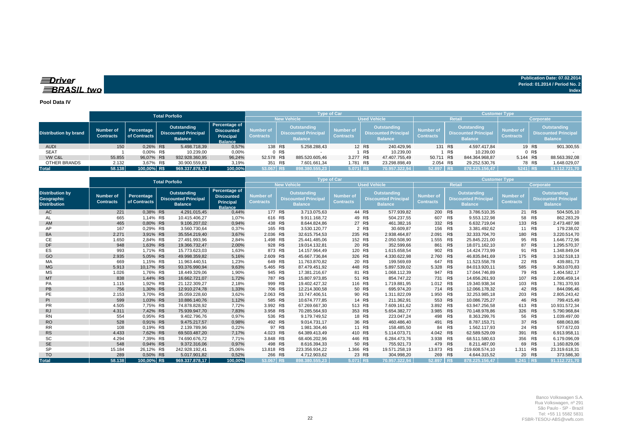**Spriver** BRASIL two

#### **Pool Data IV**

|                              |                               |                            | <b>Total Porfolio</b>                                        |                                                                          |                                      |                                                              |                | <b>Type of Car</b>                  |        |                                                                     | <b>Customer Type</b>          |                                                                     |                |                               |                                                              |  |  |
|------------------------------|-------------------------------|----------------------------|--------------------------------------------------------------|--------------------------------------------------------------------------|--------------------------------------|--------------------------------------------------------------|----------------|-------------------------------------|--------|---------------------------------------------------------------------|-------------------------------|---------------------------------------------------------------------|----------------|-------------------------------|--------------------------------------------------------------|--|--|
|                              |                               |                            |                                                              |                                                                          | <b>New Vehicle</b>                   |                                                              |                | <b>Used Vehicle</b>                 |        | Retail                                                              |                               | <b>Corporate</b>                                                    |                |                               |                                                              |  |  |
| <b>Distribution by brand</b> | Number of<br><b>Contracts</b> | Percentage<br>of Contracts | Outstanding<br><b>Discounted Principal</b><br><b>Balance</b> | Percentage of<br><b>Discounted</b><br><b>Principal</b><br><b>Balance</b> | <b>Number of</b><br><b>Contracts</b> | Outstanding<br><b>Discounted Principal</b><br><b>Balance</b> |                | Number of<br>Contracts <sup>1</sup> |        | <b>Outstanding</b><br><b>Discounted Principal</b><br><b>Balance</b> | Number of<br><b>Contracts</b> | <b>Outstanding</b><br><b>Discounted Principal</b><br><b>Balance</b> |                | Number of<br><b>Contracts</b> | Outstanding<br><b>Discounted Principal</b><br><b>Balance</b> |  |  |
| <b>AUDI</b>                  | 150                           | 0.26% R\$                  | 5.498.718,39                                                 | 0,57%                                                                    |                                      | 138 R\$                                                      | 5.258.288,43   |                                     | 12 R\$ | 240.429,96                                                          | 131 R\$                       |                                                                     | 4.597.417.84   |                               | 19 R\$<br>901.300,55                                         |  |  |
| <b>SEAT</b>                  |                               | 0.00% R\$                  | 10.239,00                                                    | 0,00%                                                                    |                                      | 0 R\$                                                        |                |                                     | R\$    | 10.239,00                                                           |                               | R\$                                                                 | 10.239.00      |                               | $0$ R\$                                                      |  |  |
| VW C&L                       | 55.855                        | 96.07% R\$                 | 932.928.360,95                                               | 96,24%                                                                   | 52.578 R\$                           |                                                              | 885.520.605.46 | 3.277 R\$                           |        | 47.407.755,49                                                       | 50.711 R\$                    |                                                                     | 844.364.968.87 | 5.144 R\$                     | 88.563.392,08                                                |  |  |
| OTHER BRANDS                 | 2.132                         | 3.67% R\$                  | 30.900.559.83                                                | 3,19%                                                                    | 351 R\$                              |                                                              | 7.601.661,34   | 1.781 R\$                           |        | 23.298.898,49                                                       | 2.054 R\$                     |                                                                     | 29.252.530,76  |                               | 78 R\$<br>1.648.029,07                                       |  |  |
| <b>Total</b>                 | 58.138                        | 100,00% R\$                | 969.337.878.17                                               | 100,00%                                                                  | 53.067 R\$                           |                                                              | 898.380.555.23 | $5.071$ RS                          |        | 70.957.322.94                                                       | 52.897 R\$                    |                                                                     | 878.225.156.47 | 5241 RS                       | 91.112.721,70                                                |  |  |

|                                                             |                                      |                            | <b>Total Porfolio</b>                                        |                                                                          |                               |                                                                    | <b>Type of Car</b>                   |         |                                                                     | <b>Customer Type</b>                 |                                                                     |                  |                               |            |                                                                     |  |
|-------------------------------------------------------------|--------------------------------------|----------------------------|--------------------------------------------------------------|--------------------------------------------------------------------------|-------------------------------|--------------------------------------------------------------------|--------------------------------------|---------|---------------------------------------------------------------------|--------------------------------------|---------------------------------------------------------------------|------------------|-------------------------------|------------|---------------------------------------------------------------------|--|
|                                                             |                                      |                            |                                                              |                                                                          |                               | <b>New Vehicle</b><br><b>Used Vehicle</b><br><b>Retail</b>         |                                      |         |                                                                     |                                      |                                                                     | <b>Corporate</b> |                               |            |                                                                     |  |
| <b>Distribution by</b><br>Geographic<br><b>Distribution</b> | <b>Number of</b><br><b>Contracts</b> | Percentage<br>of Contracts | Outstanding<br><b>Discounted Principal</b><br><b>Balance</b> | Percentage of<br><b>Discounted</b><br><b>Principal</b><br><b>Balance</b> | Number of<br><b>Contracts</b> | <b>Outstanding</b><br><b>Discounted Principa</b><br><b>Balance</b> | <b>Number of</b><br><b>Contracts</b> |         | <b>Outstanding</b><br><b>Discounted Principal</b><br><b>Balance</b> | <b>Number of</b><br><b>Contracts</b> | <b>Outstanding</b><br><b>Discounted Principal</b><br><b>Balance</b> |                  | Number of<br><b>Contracts</b> |            | <b>Outstanding</b><br><b>Discounted Principal</b><br><b>Balance</b> |  |
| AC                                                          | 221                                  | 0,38% R\$                  | 4.291.015,45                                                 | 0,44%                                                                    | 177 R\$                       | 3.713.075.63                                                       |                                      | 44 R\$  | 577.939,82                                                          | 200 R\$                              |                                                                     | 3.786.510.35     |                               | 21 R\$     | 504.505,10                                                          |  |
| AL                                                          | 665                                  | 1.14% R\$                  | 10.415.406.27                                                | 1.07%                                                                    | 616 R\$                       | 9.911.168.72                                                       |                                      | 49 R\$  | 504.237.55                                                          | 607                                  | R\$                                                                 | 9.553.122.98     | 58                            | R\$        | 862.283.29                                                          |  |
| AM                                                          | 465                                  | 0,80% R\$                  | 9.106.207,02                                                 | 0,94%                                                                    | 438 R\$                       | 8.644.824.86                                                       |                                      | 27 R\$  | 461.382,16                                                          | 332 R\$                              |                                                                     | 6.632.719.04     | 133                           | R\$        | 2.473.487,98                                                        |  |
| AP                                                          | 167                                  | 0.29% R\$                  | 3.560.730.64                                                 | 0,37%                                                                    | 165 R\$                       | 3.530.120.77                                                       |                                      | 2 R\$   | 30.609.87                                                           | 156 R\$                              |                                                                     | 3.381.492.62     | 11                            | R\$        | 179.238,02                                                          |  |
| <b>BA</b>                                                   | 2.271                                | 3,91% R\$                  | 35.554.219,40                                                | 3,67%                                                                    | 2.036 R\$                     | 32.615.754,53                                                      |                                      | 235 R\$ | 2.938.464,87                                                        | 2.091 R\$                            |                                                                     | 32.333.704,70    | 180 R\$                       |            | 3.220.514,70                                                        |  |
| <b>CE</b>                                                   | 1.650                                | 2.84% R\$                  | 27.491.993.96                                                | 2,84%                                                                    | 1.498 R\$                     | 25.441.485,06                                                      |                                      | 152 R\$ | 2.050.508,90                                                        | 1.555 R\$                            |                                                                     | 25.845.221,00    | 95                            | R\$        | 1.646.772,96                                                        |  |
| <b>DF</b>                                                   | 948                                  | 1.63% R\$                  | 19.366.732.47                                                | 2,00%                                                                    | 928 R\$                       | 19.014.132.81                                                      |                                      | 20 R\$  | 352.599.66                                                          | 861 R\$                              |                                                                     | 18.071.162.10    | 87                            | <b>R\$</b> | 1.295.570,37                                                        |  |
| ES                                                          | 993                                  | 1,71% R\$                  | 15.773.623,03                                                | 1,63%                                                                    | 873 R\$                       | 14.157.964,49                                                      |                                      | 120 R\$ | 1.615.658,54                                                        | 902                                  | R\$                                                                 | 14.424.773.99    | 91                            | R\$        | 1.348.849,04                                                        |  |
| GO                                                          | 2.935                                | 5,05% R\$                  | 49.998.359,82                                                | 5,16%                                                                    | 2.609 R\$                     | 45.667.736.84                                                      |                                      | 326 R\$ | 4.330.622,98                                                        | 2.760 R\$                            |                                                                     | 46.835.841.69    | 175 R\$                       |            | 3.162.518,13                                                        |  |
| МA                                                          | 669                                  | 1,15% R\$                  | 11.963.440,51                                                | 1,23%                                                                    | 649 R\$                       | 11.763.870,82                                                      |                                      | 20 R\$  | 199.569,69                                                          | 647                                  | R\$                                                                 | 11.523.558,78    | 22                            | R\$        | 439.881,73                                                          |  |
| <b>MG</b>                                                   | 5.913                                | 10,17% R\$                 | 93.376.990.94                                                | 9,63%                                                                    | 5.465 R\$                     | 87.479.451.92                                                      |                                      | 448 R\$ | 5.897.539.02                                                        | 5.328                                | R\$                                                                 | 84.013.920.11    | 585 R\$                       |            | 9.363.070.83                                                        |  |
| MS                                                          | 1.026                                | 1.76% R\$                  | 18.449.329.06                                                | 1,90%                                                                    | 945 R\$                       | 17.381.216.67                                                      |                                      | 81 R\$  | 1.068.112,39                                                        | 947                                  | R\$                                                                 | 17.044.746.89    | 79                            | R\$        | 1.404.582,17                                                        |  |
| <b>MT</b>                                                   | 838                                  | 1,44% R\$                  | 16.662.721,07                                                | 1,72%                                                                    | 787 R\$                       | 15.807.973.85                                                      |                                      | 51 R\$  | 854.747.22                                                          | 731 R\$                              |                                                                     | 14.656.261,93    | 107                           | R\$        | 2.006.459,14                                                        |  |
| PA                                                          | 1.115                                | 1.92% R\$                  | 21.122.309.27                                                | 2,18%                                                                    | 999 R\$                       | 19.402.427,32                                                      |                                      | 116 R\$ | 1.719.881,95                                                        | 1.012 R\$                            |                                                                     | 19.340.938,34    | 103                           | R\$        | 1.781.370,93                                                        |  |
| PB                                                          | 756                                  | 1,30% R\$                  | 12.910.274.78                                                | 1,33%                                                                    | 706 R\$                       | 12.214.300,58                                                      |                                      | 50 R\$  | 695.974.20                                                          | 714 R\$                              |                                                                     | 12.066.178,32    |                               | 42 R\$     | 844.096,46                                                          |  |
| PE                                                          | 2.153                                | 3,70% R\$                  | 35.059.228,60                                                | 3,62%                                                                    | 2.063 R\$                     | 33.747.406,51                                                      |                                      | 90 R\$  | 1.311.822,09                                                        | 1.950 R\$                            |                                                                     | 32.253.985,18    | 203                           | R\$        | 2.805.243,42                                                        |  |
| PI                                                          | 599                                  | 1,03% R\$                  | 10.886.140,76                                                | 1,12%                                                                    | 585 R\$                       | 10.674.777.85                                                      |                                      | 14 R\$  | 211.362,91                                                          | 553                                  | R\$                                                                 | 10.086.725,27    | 46                            | R\$        | 799.415,49                                                          |  |
| <b>PR</b>                                                   | 4.505                                | 7,75% R\$                  | 74.878.828,92                                                | 7,72%                                                                    | 3.992                         | R\$<br>67.269.667,30                                               |                                      | 513 R\$ | 7.609.161,62                                                        | 3.892                                | R\$                                                                 | 63.947.256,58    | 613                           | R\$        | 10.931.572,34                                                       |  |
| <b>RJ</b>                                                   | 4.311                                | 7,42% R\$                  | 75.939.947.70                                                | 7,83%                                                                    | 3.958 R\$                     | 70.285.564.93                                                      |                                      | 353 R\$ | 5.654.382.77                                                        | 3.985 R\$                            |                                                                     | 70.148.978.86    | 326                           | R\$        | 5.790.968,84                                                        |  |
| <b>RN</b>                                                   | 554                                  | 0,95% R\$                  | 9.402.796,76                                                 | 0,97%                                                                    | 536 R\$                       | 9.179.749,52                                                       |                                      | 18 R\$  | 223.047,24                                                          | 498                                  | R\$                                                                 | 8.363.299,76     | 56                            | R\$        | 1.039.497,00                                                        |  |
| <b>RO</b>                                                   | 528                                  | 0,91% R\$                  | 9.475.217.57                                                 | 0,98%                                                                    | 492 R\$                       | 9.014.731.17                                                       |                                      | 36 R\$  | 460.486.40                                                          | 491 R\$                              |                                                                     | 8.787.153.71     | 37                            | R\$        | 688.063,86                                                          |  |
| <b>RR</b>                                                   | 108                                  | 0.19% R\$                  | 2.139.789,96                                                 | 0,22%                                                                    |                               | 97 R\$<br>1.981.304,46                                             |                                      | 11 R\$  | 158.485,50                                                          | 84                                   | R\$                                                                 | 1.562.117,93     | 24                            | R\$        | 577.672,03                                                          |  |
| <b>RS</b>                                                   | 4.433                                | 7,62% R\$                  | 69.503.487.20                                                | 7,17%                                                                    | 4.023                         | R\$<br>64.389.413.49                                               |                                      | 410 R\$ | 5.114.073.71                                                        | 4.042 R\$                            |                                                                     | 62.589.529,09    | 391                           | R\$        | 6.913.958,11                                                        |  |
| <b>SC</b>                                                   | 4.294                                | 7,39% R\$                  | 74.690.676,72                                                | 7,71%                                                                    | 3.848 R\$                     | 68.406.202,96                                                      |                                      | 446 R\$ | 6.284.473,76                                                        | 3.938 R\$                            |                                                                     | 68.511.580.63    | 356                           | R\$        | 6.179.096,09                                                        |  |
| <b>SE</b>                                                   | 548                                  | 0,94% R\$                  | 9.372.316,06                                                 | 0,97%                                                                    | 498 R\$                       | 8.616.394,33                                                       |                                      | 50 R\$  | 755.921,73                                                          | 479 R\$                              |                                                                     | 8.211.487,00     | 69                            | R\$        | 1.160.829,06                                                        |  |
| <b>SP</b>                                                   | 15.184                               | 26,12% R\$                 | 242.928.192.41                                               | 25,06%                                                                   | 13.818 R\$                    | 223.356.934,22                                                     | 1.366 R\$                            |         | 19.571.258,19                                                       | 13.873 R\$                           |                                                                     | 219.608.574.10   | 1.311                         | R\$        | 23.319.618,31                                                       |  |
| <b>TO</b>                                                   | 289                                  | 0,50% R\$                  | 5.017.901,82                                                 | 0,52%                                                                    | 266 R\$                       | 4.712.903,62                                                       |                                      | 23 R\$  | 304.998,20                                                          | 269 R\$                              |                                                                     | 4.644.315,52     | 20                            | R\$        | 373.586,30                                                          |  |
| <b>Total</b>                                                | 58.138                               | 100.00% R\$                | 969.337.878.17                                               | 100.00%                                                                  | 53.067 R\$                    | 898.380.555.23                                                     | 5.071 R\$                            |         | 70.957.322.94                                                       | 52.897 R\$                           |                                                                     | 878.225.156.47   | 5.241 R\$                     |            | 91.112.721.70                                                       |  |

**Publication Date: 07.02.2014 Period: 01.2014 / Period No. 2**

**Index**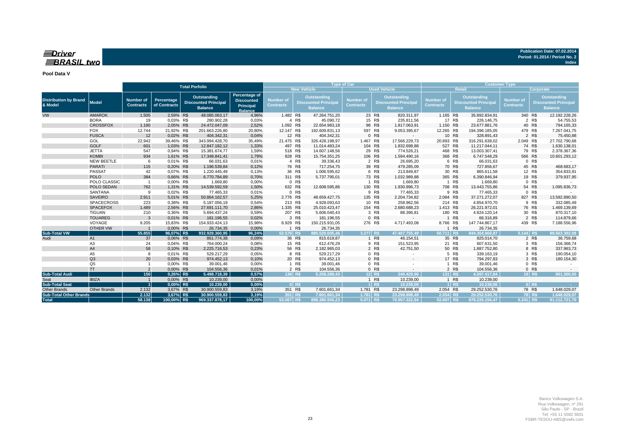#### $\equiv$ Driver **BRASIL** two

#### **Pool Data V**

|                                         |                     |                                      | <b>Total Porfolio</b>      |                                                              |                                                                   |                                                                                                                                                                                                                     | <b>Type of Car</b> |                                      |                                                                     |                  | <b>Customer Type</b>                 |                     |                                                                     |                |           |        |                 |
|-----------------------------------------|---------------------|--------------------------------------|----------------------------|--------------------------------------------------------------|-------------------------------------------------------------------|---------------------------------------------------------------------------------------------------------------------------------------------------------------------------------------------------------------------|--------------------|--------------------------------------|---------------------------------------------------------------------|------------------|--------------------------------------|---------------------|---------------------------------------------------------------------|----------------|-----------|--------|-----------------|
|                                         |                     |                                      |                            |                                                              |                                                                   |                                                                                                                                                                                                                     |                    | <b>New Vehicle</b>                   |                                                                     |                  | <b>Used Vehicle</b>                  | Retail<br>Corporate |                                                                     |                |           |        |                 |
| <b>Distribution by Brand</b><br>& Model | <b>Model</b>        | <b>Number of</b><br><b>Contracts</b> | Percentage<br>of Contracts | Outstanding<br><b>Discounted Principal</b><br><b>Balance</b> | Percentage of<br><b>Discounted</b><br>Principal<br><b>Balance</b> | Outstanding<br><b>Outstanding</b><br><b>Number of</b><br><b>Number of</b><br><b>Discounted Principal</b><br><b>Discounted Principal</b><br><b>Contracts</b><br><b>Contracts</b><br><b>Balance</b><br><b>Balance</b> |                    | <b>Number of</b><br><b>Contracts</b> | <b>Outstanding</b><br><b>Discounted Principal</b><br><b>Balance</b> |                  | <b>Number of</b><br><b>Contracts</b> |                     | <b>Outstanding</b><br><b>Discounted Principal</b><br><b>Balance</b> |                |           |        |                 |
| VW                                      | <b>AMAROK</b>       | 1.505                                | 2,59% R\$                  | 48.085.063,17                                                | 4,96%                                                             | 1.482 R\$                                                                                                                                                                                                           |                    | 47.264.751,20                        |                                                                     | 23 R\$           | 820.311,97                           | 1.165 R\$           |                                                                     | 35.892.834,91  | 340 R\$   |        | 12.192.228,26   |
|                                         | <b>BORA</b>         | 19                                   | 0.03% R\$                  | 280.902,28                                                   | 0,03%                                                             |                                                                                                                                                                                                                     | 4 R\$              | 45.090,72                            |                                                                     | 15 R\$           | 235.811,56                           |                     | 17 R\$                                                              | 226.146,75     |           | 2 R\$  | 54.755,53       |
|                                         | <b>CROSSFOX</b>     | 1.190                                | 2,05% R\$                  | 24.472.047,09                                                | 2,52%                                                             | 1.092 R\$                                                                                                                                                                                                           |                    | 22.654.983,18                        |                                                                     | 98 R\$           | 1.817.063,91                         | 1.150 R\$           |                                                                     | 23.677.881,76  |           | 40 R\$ | 794.165,33      |
|                                         | <b>FOX</b>          | 12.744                               | 21,92% R\$                 | 201.663.226,80                                               | 20,80%                                                            | 12.147 R\$                                                                                                                                                                                                          |                    | 192.609.831,13                       | 597 R\$                                                             |                  | 9.053.395,67                         | 12.265 R\$          |                                                                     | 194.396.185,05 | 479 R\$   |        | 7.267.041,75    |
|                                         | <b>FUSCA</b>        | 12                                   | 0,02% R\$                  | 404.342,31                                                   | 0,04%                                                             |                                                                                                                                                                                                                     | 12 R\$             | 404.342,31                           |                                                                     | 0 R\$            |                                      |                     | 10 R\$                                                              | 328.891,43     |           | 2 R\$  | 75.450,88       |
|                                         | GOL                 | 22.942                               | 39,46% R\$                 | 343.994.428,70                                               | 35,49%                                                            | 21.475 R\$                                                                                                                                                                                                          |                    | 326.428.198,97                       | 1.467 R\$                                                           |                  | 17.566.229,73                        | 20.893 R\$          |                                                                     | 316.291.638,02 | 2.049 R\$ |        | 27.702.790,68   |
|                                         | <b>GOLF</b>         | 601                                  | 1,03% R\$                  | 12.847.182,12                                                | 1,33%                                                             | 497 R\$                                                                                                                                                                                                             |                    | 11.014.483,24                        | 104 R\$                                                             |                  | 1.832.698,88                         | 527 R\$             |                                                                     | 11.217.044,11  | 74 R\$    |        | 1.630.138,01    |
|                                         | <b>JETTA</b>        | 547                                  | 0,94% R\$                  | 15.381.674,77                                                | 1,59%                                                             | 518 R\$                                                                                                                                                                                                             |                    | 14.607.148,56                        |                                                                     | 29 R\$           | 774.526,21                           | 468 R\$             |                                                                     | 13.003.307,41  |           | 79 R\$ | 2.378.367,36    |
|                                         | <b>KOMBI</b>        | 934                                  | 1,61% R\$                  | 17.348.841,41                                                | 1,79%                                                             | 828 R\$                                                                                                                                                                                                             |                    | 15.754.351,25                        | 106 R\$                                                             |                  | 1.594.490,16                         | 368 R\$             |                                                                     | 6.747.548,29   | 566 R\$   |        | 10.601.293,12   |
|                                         | <b>NEW BEETLE</b>   | 6                                    | 0.01% R\$                  | 66.031,63                                                    | 0,01%                                                             |                                                                                                                                                                                                                     | 4 R\$              | 39.336,43                            |                                                                     | 2 R\$            | 26.695,20                            |                     | 6 R\$                                                               | 66.031,63      |           | 0 R\$  |                 |
|                                         | <b>PARATI</b>       | 115                                  | 0,20% R\$                  | 1.196.539,84                                                 | 0,12%                                                             | 76 R\$                                                                                                                                                                                                              |                    | 717.254,75                           |                                                                     | 39 R\$           | 479.285,09                           |                     | 70 R\$                                                              | 727.856,67     |           | 45 R\$ | 468.683,17      |
|                                         | PASSAT              | 42                                   | 0,07% R\$                  | 1.220.445,49                                                 | 0,13%                                                             |                                                                                                                                                                                                                     | 36 R\$             | 1.006.595,62                         |                                                                     | 6 R\$            | 213.849,87                           |                     | 30 R\$                                                              | 865.611,58     |           | 12 R\$ | 354.833,91      |
|                                         | <b>POLO</b>         | 384                                  | 0,66% R\$                  | 6.770.784,89                                                 | 0,70%                                                             | 311 R\$                                                                                                                                                                                                             |                    | 5.737.795,01                         |                                                                     | 73 R\$           | 1.032.989,88                         | 365 R\$             |                                                                     | 6.390.846,94   |           | 19 R\$ | 379.937,95      |
|                                         | POLO CLASSIC        | $\overline{1}$                       | 0,00% R\$                  | 1.669,80                                                     | 0,00%                                                             |                                                                                                                                                                                                                     | 0 R\$              |                                      |                                                                     | 1 R\$            | 1.669,80                             |                     | 1 R\$                                                               | 1.669,80       |           | 0 R\$  |                 |
|                                         | POLO SEDAN          | 762                                  | 1,31% R\$                  | 14.539.592,59                                                | 1,50%                                                             | 632 R\$                                                                                                                                                                                                             |                    | 12.608.595,86                        | 130 R\$                                                             |                  | 1.930.996,73                         | 708 R\$             |                                                                     | 13.443.755,86  |           | 54 R\$ | 1.095.836,73    |
|                                         | <b>SANTANA</b>      | 9                                    | 0,02% R\$                  | 77.465,33                                                    | 0,01%                                                             |                                                                                                                                                                                                                     | 0 R\$              | $\sim$                               |                                                                     | 9 R\$            | 77.465,33                            |                     | 9 R\$                                                               | 77.465,33      |           | 0 R\$  |                 |
|                                         | <b>SAVEIRO</b>      | 2.911                                | 5,01% R\$                  | 50.864.162,57                                                | 5,25%                                                             | 2.776 R\$                                                                                                                                                                                                           |                    | 48.659.427,75                        | 135 R\$                                                             |                  | 2.204.734,82                         | 2.084 R\$           |                                                                     | 37.271.272,07  | 827 R\$   |        | 13.592.890,50   |
|                                         | <b>SPACECROSS</b>   | 223                                  | 0,38% R\$                  | 5.187.056,19                                                 | 0,54%                                                             | 213 R\$                                                                                                                                                                                                             |                    | 4.928.093,63                         |                                                                     | 10 R\$           | 258.962,56                           | 214 R\$             |                                                                     | 4.854.970,70   |           | 9 R\$  | 332.085,49      |
|                                         | <b>SPACEFOX</b>     | 1.489                                | 2,56% R\$                  | 27.691.111,70                                                | 2,86%                                                             | 1.335 R\$                                                                                                                                                                                                           |                    | 25.010.423,47                        | 154 R\$                                                             |                  | 2.680.688,23                         | 1.413 R\$           |                                                                     | 26.221.972,01  |           | 76 R\$ | 1.469.139,69    |
|                                         | <b>TIGUAN</b>       | 210                                  | 0,36% R\$                  | 5.694.437,24                                                 | 0,59%                                                             | 207 R\$                                                                                                                                                                                                             |                    | 5.606.040,43                         |                                                                     | 3 R\$            | 88.396,81                            | 180 R\$             |                                                                     | 4.824.120,14   |           | 30 R\$ | 870.317,10      |
|                                         | <b>TOUAREG</b>      | $\overline{3}$                       | 0.01% R\$                  | 181.196,55                                                   | 0,02%                                                             |                                                                                                                                                                                                                     | 3 R\$              | 181.196,55                           |                                                                     | 0 R\$            |                                      |                     | 1 R\$                                                               | 66.316,89      |           | 2 R\$  | 114.879,66      |
|                                         | VOYAGE              | 9.205                                | 15,83% R\$                 | 154.933.424,13                                               | 15,98%                                                            | 8.929 R\$                                                                                                                                                                                                           |                    | 150.215.931,05                       | 276 R\$                                                             |                  | 4.717.493,08                         | 8.766 R\$           |                                                                     | 147.744.867,17 | 439 R\$   |        | 7.188.556,96    |
|                                         | <b>OTHER VW</b>     |                                      | 0,00% R\$                  | 26.734,35                                                    | 0,00%                                                             |                                                                                                                                                                                                                     | 1 R\$              | 26.734,35                            |                                                                     |                  |                                      |                     | 1 R\$                                                               | 26.734,35      |           |        |                 |
| <b>Sub-Total VW</b>                     |                     | 55.855                               | 96.07% R\$                 | 932.928.360.95                                               | 96.24%                                                            | 52.578 RS                                                                                                                                                                                                           |                    | 885.520.605.46                       | 3.277 R\$                                                           |                  | 47.407.755,49                        | 50.711 R\$          |                                                                     | 844.364.968.87 | 5.144 RS  |        | 88.563.392.08   |
| Audi                                    | A1                  | 37                                   | 0,06% R\$                  | 861.774,38                                                   | 0,09%                                                             |                                                                                                                                                                                                                     | 36 R\$             | 815.619,87                           |                                                                     | 1 R\$            | 46.154,51                            |                     | 35 R\$                                                              | 825.014,70     |           | 2 R\$  | 36.759,68       |
|                                         | A3                  | 24                                   | 0,04% R\$                  | 764.000,24                                                   | 0,08%                                                             |                                                                                                                                                                                                                     | 15 R\$             | 612.476,29                           |                                                                     | 9 R\$            | 151.523,95                           |                     | 21 R\$                                                              | 607.631,50     |           | 3 R\$  | 156.368,74      |
|                                         | A4                  | 58                                   | 0,10% R\$                  | 2.225.716,53                                                 | 0,23%                                                             |                                                                                                                                                                                                                     | 56 R\$             | 2.182.965,03                         |                                                                     | 2 R\$            | 42.751,50                            |                     | 50 R\$                                                              | 1.887.752,80   |           | 8 R\$  | 337.963,73      |
|                                         | A <sub>5</sub>      | 8                                    | 0.01% R\$                  | 529.217.29                                                   | 0,05%                                                             |                                                                                                                                                                                                                     | 8 R\$              | 529.217.29                           |                                                                     | 0 R\$            |                                      |                     | 5 R\$                                                               | 339.163,19     |           | 3 R\$  | 190.054,10      |
|                                         | Q3                  | 20                                   | 0,03% R\$                  | 974.452,13                                                   | 0,10%                                                             |                                                                                                                                                                                                                     | 20 R\$             | 974.452,13                           |                                                                     | 0 R\$            |                                      |                     | 17 R\$                                                              | 794.297,83     |           | 3 R\$  | 180.154,30      |
|                                         | Q <sub>5</sub>      | -1                                   | 0,00% R\$                  | 39.001,46                                                    | 0,00%                                                             |                                                                                                                                                                                                                     | 1 R\$              | 39.001,46                            |                                                                     | 0 R\$            |                                      |                     | 1 R\$                                                               | 39.001,46      |           | 0 R\$  |                 |
|                                         | <b>TT</b>           | $\overline{2}$                       | 0,00% R\$                  | 104.556,36                                                   | 0,01%                                                             |                                                                                                                                                                                                                     | 2 R\$              | 104.556,36                           |                                                                     | 0 R\$            | $\overline{\phantom{a}}$             |                     | 2 R\$                                                               | 104.556,36     |           | 0 R\$  | $\sim$          |
| <b>Sub-Total Audi</b>                   |                     | 150                                  | 0,26% R\$                  | 5.498.718,39                                                 | 0,57%                                                             | 138 R\$                                                                                                                                                                                                             |                    | 5.258.288.43                         |                                                                     | 12 R\$           | 240.429.96                           | 131 R\$             |                                                                     | 4.597.417,84   |           | 19 R\$ | 901.300.55      |
| Seat                                    | <b>IBIZA</b>        | $\overline{1}$                       | 0,00% R\$                  | 10.239,00                                                    | 0,00%                                                             |                                                                                                                                                                                                                     |                    |                                      |                                                                     | 1 R\$            | 10.239,00                            |                     | 1 R\$                                                               | 10.239,00      |           |        |                 |
| <b>Sub-Total Seat</b>                   |                     |                                      | $0.00\%$ R\$               | 10.239,00                                                    | 0,00%                                                             |                                                                                                                                                                                                                     | 0 RS               | <b>Contract</b>                      |                                                                     | 1 R <sub>s</sub> | 10.239,00                            |                     | 1 R <sub>s</sub>                                                    | 10.239,00      |           | 0 R    | <b>Contract</b> |
| Other Brands                            | <b>Other Brands</b> | 2.132                                | 3,67% R\$                  | 30.900.559,83                                                | 3,19%                                                             | 351 R\$                                                                                                                                                                                                             |                    | 7.601.661,34                         | 1.781 R\$                                                           |                  | 23.298.898,49                        | 2.054 R\$           |                                                                     | 29.252.530,76  |           | 78 R\$ | 1.648.029,07    |
| <b>Sub-Total Other Brands</b>           |                     | 2.132                                | 3,67% R\$                  | 30.900.559.83                                                | 3,19%                                                             | 351 R\$                                                                                                                                                                                                             |                    | 7.601.661.34                         | $1.781$ R\$                                                         |                  | 23.298.898.49                        | $2.054$ R\$         |                                                                     | 29.252.530.76  |           | 78 R\$ | 1.648.029.07    |
| Total                                   |                     | 58.138                               | 100,00% R\$                | 969.337.878,17                                               | 100,00%                                                           | 53.067 R\$                                                                                                                                                                                                          |                    | 898.380.555.23                       | 5.071 R\$                                                           |                  | 70.957.322.94                        | 52.897 R\$          |                                                                     | 878.225.156,47 | 5.241 R\$ |        | 91.112.721,70   |